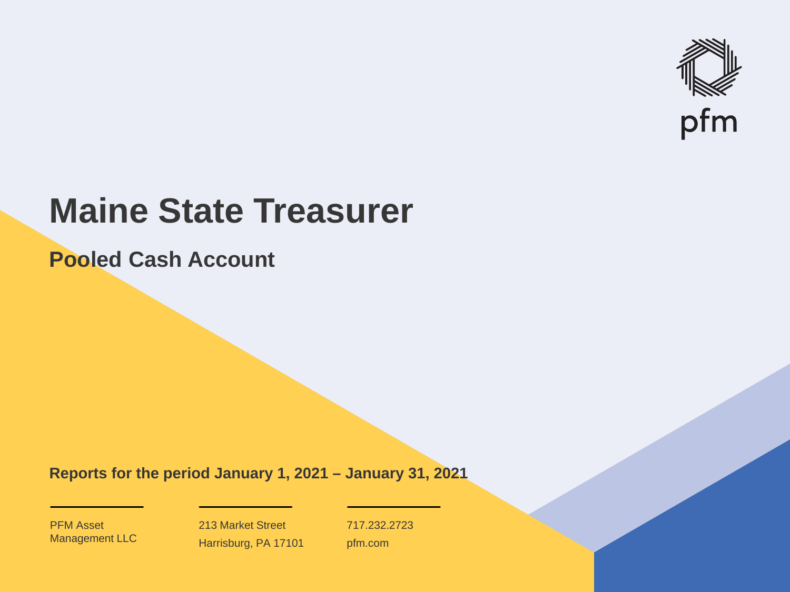

# **Maine State Treasurer**

**Pooled Cash Account**

**Reports for the period January 1, 2021 – January 31, 2021**

PFM Asset Management LLC

213 Market Street Harrisburg, PA 17101 717.232.2723 pfm.com

 $\mathcal{P}_\text{max}$  and  $\mathcal{P}_\text{max}$  is the probability of  $\mathcal{P}_\text{max}$  and  $\mathcal{P}_\text{max}$  and  $\mathcal{P}_\text{max}$  and  $\mathcal{P}_\text{max}$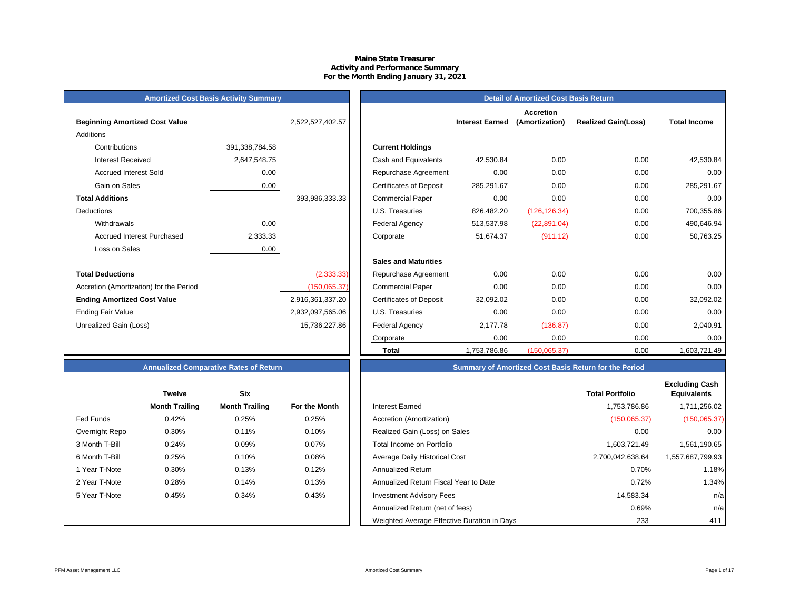# **Maine State Treasurer Activity and Performance Summary For the Month Ending January 31, 2021**

# **Amortized Cost Basis Activity Summary**

| <b>Beginning Amortized Cost Value</b>   |                | 2,522,527,402.57 | <b>Interest Earned</b>         |            |  |
|-----------------------------------------|----------------|------------------|--------------------------------|------------|--|
| Additions                               |                |                  |                                |            |  |
| Contributions                           | 391,338,784.58 |                  | <b>Current Holdings</b>        |            |  |
| <b>Interest Received</b>                | 2,647,548.75   |                  | Cash and Equivalents           | 42,530.84  |  |
| <b>Accrued Interest Sold</b>            | 0.00           |                  | Repurchase Agreement           | 0.00       |  |
| Gain on Sales                           | 0.00           |                  | <b>Certificates of Deposit</b> | 285,291.67 |  |
| <b>Total Additions</b>                  |                | 393,986,333.33   | <b>Commercial Paper</b>        | 0.00       |  |
| Deductions                              |                |                  | U.S. Treasuries                | 826,482.20 |  |
| Withdrawals                             | 0.00           |                  | Federal Agency                 | 513,537.98 |  |
| Accrued Interest Purchased              | 2,333.33       |                  | Corporate                      | 51,674.37  |  |
| Loss on Sales                           | 0.00           |                  |                                |            |  |
|                                         |                |                  | <b>Sales and Maturities</b>    |            |  |
| <b>Total Deductions</b>                 |                | (2,333.33)       | Repurchase Agreement           | 0.00       |  |
| Accretion (Amortization) for the Period |                | (150,065.37)     | <b>Commercial Paper</b>        | 0.00       |  |
| <b>Ending Amortized Cost Value</b>      |                | 2,916,361,337.20 | <b>Certificates of Deposit</b> | 32,092.02  |  |
| <b>Ending Fair Value</b>                |                | 2,932,097,565.06 | U.S. Treasuries                | 0.00       |  |
| Unrealized Gain (Loss)                  |                | 15,736,227.86    | <b>Federal Agency</b>          | 2,177.78   |  |
|                                         |                |                  |                                |            |  |

|                                         | <b>Amortized Cost Basis Activity Summary</b> |                  |                                | <b>Detail of Amortized Cost Basis Return</b> |                                    |                            |                     |  |  |  |
|-----------------------------------------|----------------------------------------------|------------------|--------------------------------|----------------------------------------------|------------------------------------|----------------------------|---------------------|--|--|--|
| <b>Beginning Amortized Cost Value</b>   |                                              | 2,522,527,402.57 |                                | <b>Interest Earned</b>                       | <b>Accretion</b><br>(Amortization) | <b>Realized Gain(Loss)</b> | <b>Total Income</b> |  |  |  |
| Additions                               |                                              |                  |                                |                                              |                                    |                            |                     |  |  |  |
| Contributions                           | 391,338,784.58                               |                  | <b>Current Holdings</b>        |                                              |                                    |                            |                     |  |  |  |
| <b>Interest Received</b>                | 2,647,548.75                                 |                  | Cash and Equivalents           | 42,530.84                                    | 0.00                               | 0.00                       | 42,530.84           |  |  |  |
| <b>Accrued Interest Sold</b>            | 0.00                                         |                  | Repurchase Agreement           | 0.00                                         | 0.00                               | 0.00                       | 0.00                |  |  |  |
| Gain on Sales                           | 0.00                                         |                  | <b>Certificates of Deposit</b> | 285,291.67                                   | 0.00                               | 0.00                       | 285,291.67          |  |  |  |
| <b>Total Additions</b>                  |                                              | 393,986,333.33   | <b>Commercial Paper</b>        | 0.00                                         | 0.00                               | 0.00                       | 0.00                |  |  |  |
| <b>Deductions</b>                       |                                              |                  | U.S. Treasuries                | 826,482.20                                   | (126, 126.34)                      | 0.00                       | 700,355.86          |  |  |  |
| Withdrawals                             | 0.00                                         |                  | <b>Federal Agency</b>          | 513,537.98                                   | (22,891.04)                        | 0.00                       | 490,646.94          |  |  |  |
| <b>Accrued Interest Purchased</b>       | 2,333.33                                     |                  | Corporate                      | 51,674.37                                    | (911.12)                           | 0.00                       | 50,763.25           |  |  |  |
| Loss on Sales                           | 0.00                                         |                  |                                |                                              |                                    |                            |                     |  |  |  |
|                                         |                                              |                  | <b>Sales and Maturities</b>    |                                              |                                    |                            |                     |  |  |  |
| <b>Total Deductions</b>                 |                                              | (2,333.33)       | Repurchase Agreement           | 0.00                                         | 0.00                               | 0.00                       | 0.00                |  |  |  |
| Accretion (Amortization) for the Period |                                              | (150, 065.37)    | <b>Commercial Paper</b>        | 0.00                                         | 0.00                               | 0.00                       | 0.00                |  |  |  |
| <b>Ending Amortized Cost Value</b>      |                                              | 2,916,361,337.20 | <b>Certificates of Deposit</b> | 32,092.02                                    | 0.00                               | 0.00                       | 32,092.02           |  |  |  |
| Ending Fair Value                       |                                              | 2,932,097,565.06 | U.S. Treasuries                | 0.00                                         | 0.00                               | 0.00                       | 0.00                |  |  |  |
| Unrealized Gain (Loss)                  |                                              | 15,736,227.86    | <b>Federal Agency</b>          | 2.177.78                                     | (136.87)                           | 0.00                       | 2,040.91            |  |  |  |
|                                         |                                              |                  | Corporate                      | 0.00                                         | 0.00                               | 0.00                       | 0.00                |  |  |  |
|                                         |                                              |                  | <b>Total</b>                   | 1,753,786.86                                 | (150,065.37)                       | 0.00                       | 1,603,721.49        |  |  |  |

# **Annualized Comparative Rates of Return**

|                | <b>Twelve</b>         | Six                   |               |
|----------------|-----------------------|-----------------------|---------------|
|                | <b>Month Trailing</b> | <b>Month Trailing</b> | For the Month |
| Fed Funds      | 0.42%                 | 0.25%                 | 0.25%         |
| Overnight Repo | 0.30%                 | 0.11%                 | 0.10%         |
| 3 Month T-Bill | 0.24%                 | 0.09%                 | 0.07%         |
| 6 Month T-Bill | 0.25%                 | 0.10%                 | 0.08%         |
| 1 Year T-Note  | 0.30%                 | 0.13%                 | 0.12%         |
| 2 Year T-Note  | 0.28%                 | 0.14%                 | 0.13%         |
| 5 Year T-Note  | 0.45%                 | 0.34%                 | 0.43%         |
|                |                       |                       |               |
|                |                       |                       |               |

| Summary of Amortized Cost Basis Return for the Period |  |
|-------------------------------------------------------|--|
|                                                       |  |

|                | <b>Twelve</b>         | Six                   |               |                                             | <b>Total Portfolio</b> | <b>Excluding Cash</b><br><b>Equivalents</b> |
|----------------|-----------------------|-----------------------|---------------|---------------------------------------------|------------------------|---------------------------------------------|
|                | <b>Month Trailing</b> | <b>Month Trailing</b> | For the Month | Interest Earned                             | 1,753,786.86           | 1,711,256.02                                |
| Fed Funds      | 0.42%                 | 0.25%                 | 0.25%         | Accretion (Amortization)                    | (150,065.37)           | (150,065.37)                                |
| Overnight Repo | 0.30%                 | 0.11%                 | 0.10%         | Realized Gain (Loss) on Sales               | 0.00                   | 0.00                                        |
| 3 Month T-Bill | 0.24%                 | 0.09%                 | 0.07%         | Total Income on Portfolio                   | 1.603.721.49           | 1,561,190.65                                |
| 6 Month T-Bill | 0.25%                 | 0.10%                 | 0.08%         | Average Daily Historical Cost               | 2,700,042,638.64       | 1,557,687,799.93                            |
| 1 Year T-Note  | 0.30%                 | 0.13%                 | 0.12%         | <b>Annualized Return</b>                    | 0.70%                  | 1.18%                                       |
| 2 Year T-Note  | 0.28%                 | 0.14%                 | 0.13%         | Annualized Return Fiscal Year to Date       | 0.72%                  | 1.34%                                       |
| 5 Year T-Note  | 0.45%                 | 0.34%                 | 0.43%         | <b>Investment Advisory Fees</b>             | 14,583.34              | n/a                                         |
|                |                       |                       |               | Annualized Return (net of fees)             | 0.69%                  | n/a                                         |
|                |                       |                       |               | Weighted Average Effective Duration in Days | 233                    | 411                                         |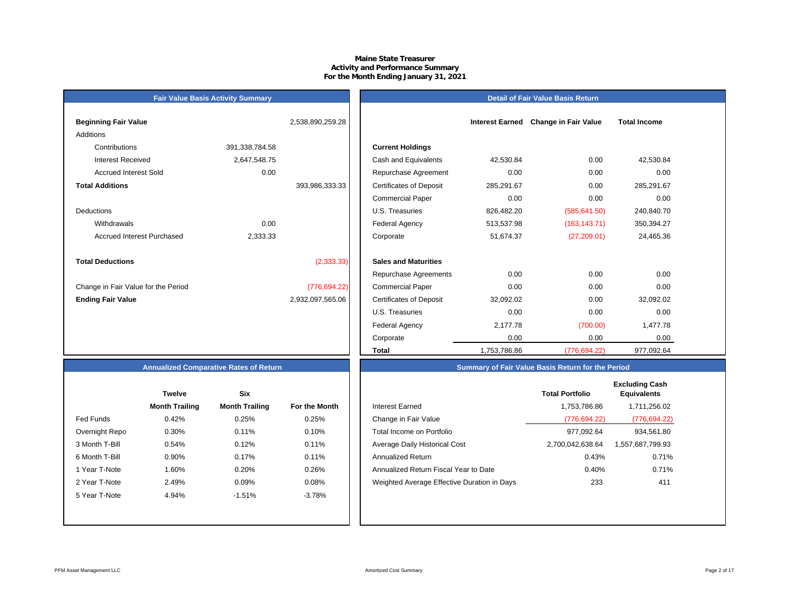# **Maine State Treasurer Activity and Performance Summary For the Month Ending January 31, 2021**

# **Fair Value Basis Activity Summary**

# **Detail of Fair Value Basis Return**

| <b>Beginning Fair Value</b>         |                | 2,538,890,259.28 |                                |
|-------------------------------------|----------------|------------------|--------------------------------|
| Additions                           |                |                  |                                |
| Contributions                       | 391,338,784.58 |                  | <b>Current Holdings</b>        |
| Interest Received                   | 2,647,548.75   |                  | Cash and Equivalents           |
| <b>Accrued Interest Sold</b>        | 0.00           |                  | Repurchase Agreeme             |
| <b>Total Additions</b>              |                | 393,986,333.33   | <b>Certificates of Deposit</b> |
|                                     |                |                  | <b>Commercial Paper</b>        |
| <b>Deductions</b>                   |                |                  | U.S. Treasuries                |
| Withdrawals                         | 0.00           |                  | <b>Federal Agency</b>          |
| Accrued Interest Purchased          | 2,333.33       |                  | Corporate                      |
|                                     |                |                  |                                |
| <b>Total Deductions</b>             |                | (2,333,33)       | <b>Sales and Maturities</b>    |
|                                     |                |                  | Repurchase Agreeme             |
| Change in Fair Value for the Period |                | (776, 694.22)    | <b>Commercial Paper</b>        |
| <b>Ending Fair Value</b>            |                | 2,932,097,565.06 | <b>Certificates of Deposit</b> |
|                                     |                |                  |                                |

| Beginning Fair Value                |                | 2,538,890,259.28 |                                | <b>Interest Earned</b> | <b>Change in Fair Value</b> | <b>Total Income</b> |  |
|-------------------------------------|----------------|------------------|--------------------------------|------------------------|-----------------------------|---------------------|--|
| Additions                           |                |                  |                                |                        |                             |                     |  |
| Contributions                       | 391,338,784.58 |                  | <b>Current Holdings</b>        |                        |                             |                     |  |
| <b>Interest Received</b>            | 2,647,548.75   |                  | Cash and Equivalents           | 42,530.84              | 0.00                        | 42,530.84           |  |
| <b>Accrued Interest Sold</b>        | 0.00           |                  | Repurchase Agreement           | 0.00                   | 0.00                        | 0.00                |  |
| <b>Total Additions</b>              |                | 393,986,333.33   | <b>Certificates of Deposit</b> | 285,291.67             | 0.00                        | 285,291.67          |  |
|                                     |                |                  | <b>Commercial Paper</b>        | 0.00                   | 0.00                        | 0.00                |  |
| Deductions                          |                |                  | U.S. Treasuries                | 826,482.20             | (585, 641.50)               | 240,840.70          |  |
| Withdrawals                         | 0.00           |                  | Federal Agency                 | 513,537.98             | (163, 143.71)               | 350,394.27          |  |
| <b>Accrued Interest Purchased</b>   | 2,333.33       |                  | Corporate                      | 51,674.37              | (27, 209.01)                | 24,465.36           |  |
| <b>Total Deductions</b>             |                | (2, 333.33)      | <b>Sales and Maturities</b>    |                        |                             |                     |  |
|                                     |                |                  | Repurchase Agreements          | 0.00                   | 0.00                        | 0.00                |  |
| Change in Fair Value for the Period |                | (776, 694.22)    | <b>Commercial Paper</b>        | 0.00                   | 0.00                        | 0.00                |  |
| <b>Ending Fair Value</b>            |                | 2,932,097,565.06 | <b>Certificates of Deposit</b> | 32,092.02              | 0.00                        | 32,092.02           |  |
|                                     |                |                  | U.S. Treasuries                | 0.00                   | 0.00                        | 0.00                |  |
|                                     |                |                  | <b>Federal Agency</b>          | 2,177.78               | (700.00)                    | 1,477.78            |  |
|                                     |                |                  | Corporate                      | 0.00                   | 0.00                        | 0.00                |  |
|                                     |                |                  | Total                          | 1,753,786.86           | (776, 694.22)               | 977,092.64          |  |

# **Annualized Comparative Rates of Return**

|                | <b>Twelve</b>         | <b>Six</b>            |               |
|----------------|-----------------------|-----------------------|---------------|
|                | <b>Month Trailing</b> | <b>Month Trailing</b> | For the Month |
| Fed Funds      | 0.42%                 | 0.25%                 | 0.25%         |
| Overnight Repo | 0.30%                 | 0.11%                 | 0.10%         |
| 3 Month T-Bill | 0.54%                 | 0.12%                 | 0.11%         |
| 6 Month T-Bill | 0.90%                 | 0.17%                 | 0.11%         |
| 1 Year T-Note  | 1.60%                 | 0.20%                 | 0.26%         |
| 2 Year T-Note  | 2.49%                 | 0.09%                 | 0.08%         |
| 5 Year T-Note  | 4.94%                 | $-1.51%$              | $-3.78%$      |
|                |                       |                       |               |
|                |                       |                       |               |

|                | <b>Twelve</b>         | <b>Six</b>            |               |                                             | <b>Total Portfolio</b> | <b>Excluding Cash</b><br><b>Equivalents</b> |
|----------------|-----------------------|-----------------------|---------------|---------------------------------------------|------------------------|---------------------------------------------|
|                | <b>Month Trailing</b> | <b>Month Trailing</b> | For the Month | <b>Interest Earned</b>                      | 1.753.786.86           | 1,711,256.02                                |
| Fed Funds      | 0.42%                 | 0.25%                 | 0.25%         | Change in Fair Value                        | (776, 694.22)          | (776, 694.22)                               |
| Overnight Repo | 0.30%                 | 0.11%                 | 0.10%         | Total Income on Portfolio                   | 977.092.64             | 934,561.80                                  |
| 3 Month T-Bill | 0.54%                 | 0.12%                 | 0.11%         | Average Daily Historical Cost               | 2,700,042,638.64       | 1,557,687,799.93                            |
| 6 Month T-Bill | 0.90%                 | 0.17%                 | 0.11%         | <b>Annualized Return</b>                    | 0.43%                  | 0.71%                                       |
| 1 Year T-Note  | 1.60%                 | 0.20%                 | 0.26%         | Annualized Return Fiscal Year to Date       | 0.40%                  | 0.71%                                       |
| 2 Year T-Note  | 2.49%                 | 0.09%                 | 0.08%         | Weighted Average Effective Duration in Days | 233                    | 411                                         |
| 5 Year T-Note  | 4.94%                 | $-1.51%$              | $-3.78%$      |                                             |                        |                                             |
|                |                       |                       |               |                                             |                        |                                             |

**Summary of Fair Value Basis Return for the Period**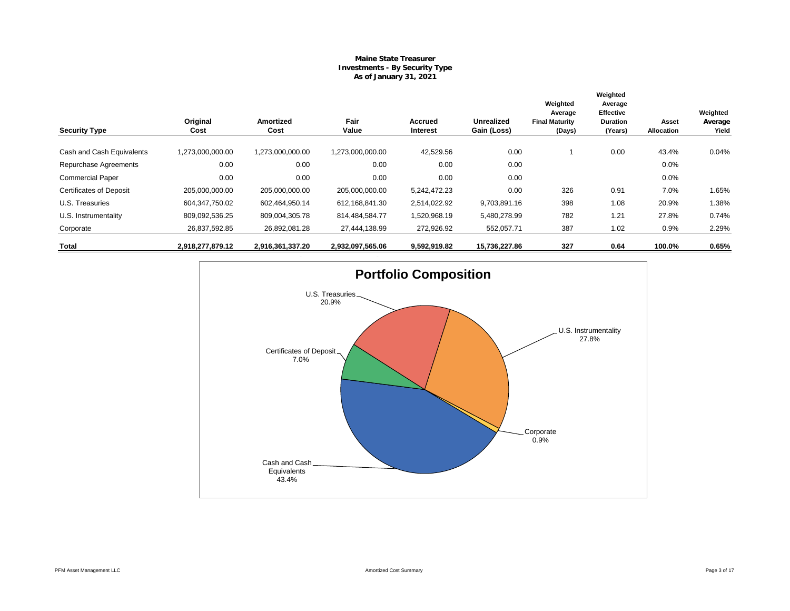# **Maine State Treasurer Investments - By Security Type As of January 31, 2021**

|                                |                  |                          |                  |                            |                                  | Weighted<br>Average             | Weighted<br>Average<br><b>Effective</b> |                     | Weighted         |
|--------------------------------|------------------|--------------------------|------------------|----------------------------|----------------------------------|---------------------------------|-----------------------------------------|---------------------|------------------|
| <b>Security Type</b>           | Original<br>Cost | <b>Amortized</b><br>Cost | Fair<br>Value    | <b>Accrued</b><br>Interest | <b>Unrealized</b><br>Gain (Loss) | <b>Final Maturity</b><br>(Days) | <b>Duration</b><br>(Years)              | Asset<br>Allocation | Average<br>Yield |
|                                |                  |                          |                  |                            |                                  |                                 |                                         |                     |                  |
| Cash and Cash Equivalents      | 1,273,000,000.00 | 1,273,000,000.00         | 1,273,000,000.00 | 42,529.56                  | 0.00                             |                                 | 0.00                                    | 43.4%               | 0.04%            |
| Repurchase Agreements          | 0.00             | 0.00                     | 0.00             | 0.00                       | 0.00                             |                                 |                                         | 0.0%                |                  |
| <b>Commercial Paper</b>        | 0.00             | 0.00                     | 0.00             | 0.00                       | 0.00                             |                                 |                                         | 0.0%                |                  |
| <b>Certificates of Deposit</b> | 205,000,000.00   | 205,000,000.00           | 205,000,000.00   | 5,242,472.23               | 0.00                             | 326                             | 0.91                                    | 7.0%                | 1.65%            |
| U.S. Treasuries                | 604,347,750.02   | 602,464,950.14           | 612,168,841.30   | 2,514,022.92               | 9,703,891.16                     | 398                             | 1.08                                    | 20.9%               | 1.38%            |
| U.S. Instrumentality           | 809,092,536.25   | 809,004,305.78           | 814,484,584.77   | 1,520,968.19               | 5,480,278.99                     | 782                             | 1.21                                    | 27.8%               | 0.74%            |
| Corporate                      | 26,837,592.85    | 26,892,081.28            | 27,444,138.99    | 272,926.92                 | 552,057.71                       | 387                             | 1.02                                    | 0.9%                | 2.29%            |
| Total                          | 2,918,277,879.12 | 2,916,361,337.20         | 2,932,097,565.06 | 9,592,919.82               | 15,736,227.86                    | 327                             | 0.64                                    | 100.0%              | 0.65%            |

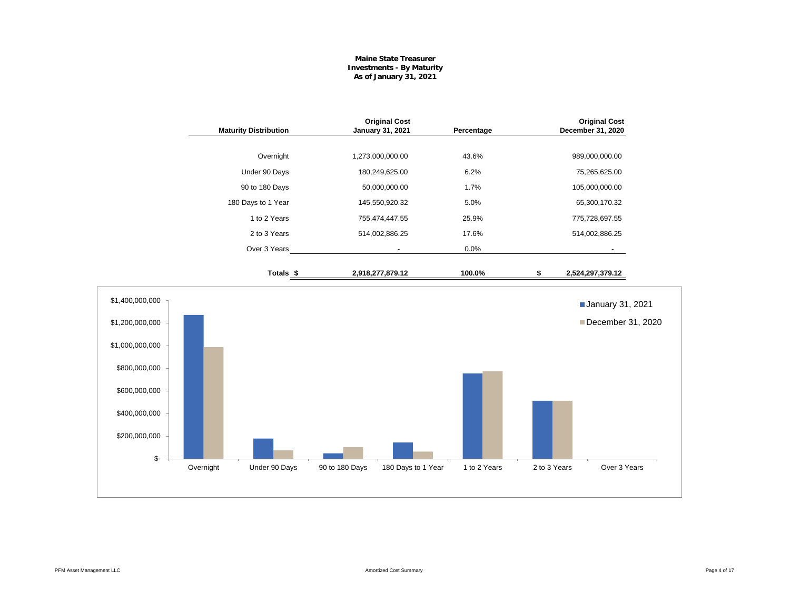## **Maine State Treasurer Investments - By Maturity As of January 31, 2021**

|                 |           | <b>Maturity Distribution</b> |                | <b>Original Cost</b><br><b>January 31, 2021</b> | Percentage   |              | <b>Original Cost</b><br>December 31, 2020 |  |  |
|-----------------|-----------|------------------------------|----------------|-------------------------------------------------|--------------|--------------|-------------------------------------------|--|--|
|                 |           | Overnight                    |                | 1,273,000,000.00                                | 43.6%        |              | 989,000,000.00                            |  |  |
|                 |           | Under 90 Days                |                | 180,249,625.00                                  | 6.2%         |              | 75,265,625.00                             |  |  |
|                 |           | 90 to 180 Days               |                | 50,000,000.00                                   | 1.7%         |              | 105,000,000.00                            |  |  |
|                 |           | 180 Days to 1 Year           |                | 145,550,920.32                                  | 5.0%         |              | 65,300,170.32                             |  |  |
|                 |           | 1 to 2 Years                 |                | 755,474,447.55                                  | 25.9%        |              | 775,728,697.55                            |  |  |
|                 |           | 2 to 3 Years                 |                | 514,002,886.25                                  | 17.6%        |              | 514,002,886.25                            |  |  |
|                 |           | Over 3 Years                 |                |                                                 | 0.0%         |              |                                           |  |  |
|                 |           | Totals <sub>\$</sub>         |                | 2,918,277,879.12                                | 100.0%       | \$           | 2,524,297,379.12                          |  |  |
| \$1,400,000,000 |           |                              |                |                                                 |              |              | January 31, 2021                          |  |  |
| \$1,200,000,000 |           |                              |                |                                                 |              |              | December 31, 2020                         |  |  |
| \$1,000,000,000 |           |                              |                |                                                 |              |              |                                           |  |  |
| \$800,000,000   |           |                              |                |                                                 |              |              |                                           |  |  |
| \$600,000,000   |           |                              |                |                                                 |              |              |                                           |  |  |
| \$400,000,000   |           |                              |                |                                                 |              |              |                                           |  |  |
| \$200,000,000   |           |                              |                |                                                 |              |              |                                           |  |  |
| \$-             | Overnight | Under 90 Days                | 90 to 180 Days | 180 Days to 1 Year                              | 1 to 2 Years | 2 to 3 Years | Over 3 Years                              |  |  |
|                 |           |                              |                |                                                 |              |              |                                           |  |  |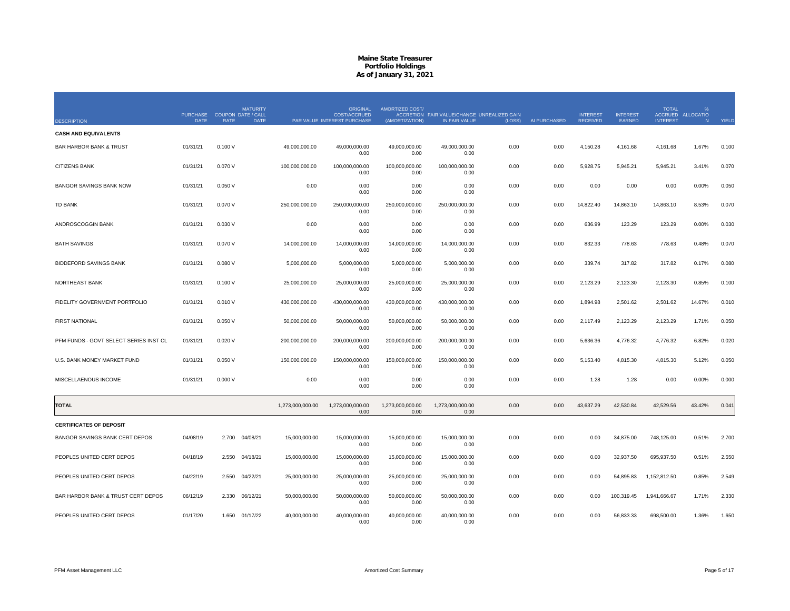|                                        | <b>PURCHASE</b> |             | <b>MATURITY</b><br><b>COUPON DATE / CALL</b> |                  | <b>ORIGINAL</b><br>COST/ACCRUED | AMORTIZED COST/          | ACCRETION FAIR VALUE/CHANGE UNREALIZED GAIN |        |              | <b>INTEREST</b> | <b>INTEREST</b> | <b>TOTAL</b>    | %<br>ACCRUED ALLOCATIO |              |
|----------------------------------------|-----------------|-------------|----------------------------------------------|------------------|---------------------------------|--------------------------|---------------------------------------------|--------|--------------|-----------------|-----------------|-----------------|------------------------|--------------|
| <b>DESCRIPTION</b>                     | <b>DATE</b>     | <b>RATE</b> | <b>DATE</b>                                  |                  | PAR VALUE INTEREST PURCHASE     | (AMORTIZATION)           | IN FAIR VALUE                               | (LOSS) | AI PURCHASED | <b>RECEIVED</b> | EARNED          | <b>INTEREST</b> | <b>N</b>               | <b>YIELD</b> |
| <b>CASH AND EQUIVALENTS</b>            |                 |             |                                              |                  |                                 |                          |                                             |        |              |                 |                 |                 |                        |              |
| <b>BAR HARBOR BANK &amp; TRUST</b>     | 01/31/21        | 0.100V      |                                              | 49,000,000.00    | 49,000,000.00<br>0.00           | 49,000,000.00<br>0.00    | 49,000,000.00<br>0.00                       | 0.00   | 0.00         | 4,150.28        | 4,161.68        | 4,161.68        | 1.67%                  | 0.100        |
| <b>CITIZENS BANK</b>                   | 01/31/21        | 0.070 V     |                                              | 100,000,000.00   | 100,000,000.00<br>0.00          | 100,000,000.00<br>0.00   | 100,000,000.00<br>0.00                      | 0.00   | 0.00         | 5,928.75        | 5,945.21        | 5,945.21        | 3.41%                  | 0.070        |
| <b>BANGOR SAVINGS BANK NOW</b>         | 01/31/21        | 0.050V      |                                              | 0.00             | 0.00<br>0.00                    | 0.00<br>0.00             | 0.00<br>0.00                                | 0.00   | 0.00         | 0.00            | 0.00            | 0.00            | 0.00%                  | 0.050        |
| <b>TD BANK</b>                         | 01/31/21        | 0.070 V     |                                              | 250,000,000.00   | 250,000,000.00<br>0.00          | 250,000,000.00<br>0.00   | 250,000,000.00<br>0.00                      | 0.00   | 0.00         | 14,822.40       | 14,863.10       | 14,863.10       | 8.53%                  | 0.070        |
| ANDROSCOGGIN BANK                      | 01/31/21        | 0.030 V     |                                              | 0.00             | 0.00<br>0.00                    | 0.00<br>0.00             | 0.00<br>0.00                                | 0.00   | 0.00         | 636.99          | 123.29          | 123.29          | 0.00%                  | 0.030        |
| <b>BATH SAVINGS</b>                    | 01/31/21        | 0.070 V     |                                              | 14,000,000.00    | 14,000,000.00<br>0.00           | 14,000,000.00<br>0.00    | 14,000,000.00<br>0.00                       | 0.00   | 0.00         | 832.33          | 778.63          | 778.63          | 0.48%                  | 0.070        |
| <b>BIDDEFORD SAVINGS BANK</b>          | 01/31/21        | 0.080V      |                                              | 5,000,000.00     | 5,000,000.00<br>0.00            | 5,000,000.00<br>0.00     | 5,000,000.00<br>0.00                        | 0.00   | 0.00         | 339.74          | 317.82          | 317.82          | 0.17%                  | 0.080        |
| NORTHEAST BANK                         | 01/31/21        | 0.100V      |                                              | 25,000,000.00    | 25,000,000.00<br>0.00           | 25,000,000.00<br>0.00    | 25,000,000.00<br>0.00                       | 0.00   | 0.00         | 2,123.29        | 2,123.30        | 2,123.30        | 0.85%                  | 0.100        |
| FIDELITY GOVERNMENT PORTFOLIO          | 01/31/21        | 0.010V      |                                              | 430,000,000.00   | 430,000,000.00<br>0.00          | 430,000,000.00<br>0.00   | 430,000,000.00<br>0.00                      | 0.00   | 0.00         | 1,894.98        | 2,501.62        | 2,501.62        | 14.67%                 | 0.010        |
| <b>FIRST NATIONAL</b>                  | 01/31/21        | 0.050V      |                                              | 50,000,000.00    | 50,000,000.00<br>0.00           | 50,000,000.00<br>0.00    | 50,000,000.00<br>0.00                       | 0.00   | 0.00         | 2,117.49        | 2,123.29        | 2,123.29        | 1.71%                  | 0.050        |
| PFM FUNDS - GOVT SELECT SERIES INST CL | 01/31/21        | 0.020V      |                                              | 200,000,000.00   | 200,000,000.00<br>0.00          | 200,000,000.00<br>0.00   | 200,000,000.00<br>0.00                      | 0.00   | 0.00         | 5,636.36        | 4,776.32        | 4,776.32        | 6.82%                  | 0.020        |
| U.S. BANK MONEY MARKET FUND            | 01/31/21        | 0.050V      |                                              | 150,000,000.00   | 150,000,000.00<br>0.00          | 150,000,000.00<br>0.00   | 150,000,000.00<br>0.00                      | 0.00   | 0.00         | 5,153.40        | 4,815.30        | 4,815.30        | 5.12%                  | 0.050        |
| MISCELLAENOUS INCOME                   | 01/31/21        | 0.000V      |                                              | 0.00             | 0.00<br>0.00                    | 0.00<br>0.00             | 0.00<br>0.00                                | 0.00   | 0.00         | 1.28            | 1.28            | 0.00            | 0.00%                  | 0.000        |
| <b>TOTAL</b>                           |                 |             |                                              | 1,273,000,000.00 | 1,273,000,000.00<br>0.00        | 1,273,000,000.00<br>0.00 | 1,273,000,000.00<br>0.00                    | 0.00   | 0.00         | 43,637.29       | 42,530.84       | 42,529.56       | 43.42%                 | 0.041        |
| <b>CERTIFICATES OF DEPOSIT</b>         |                 |             |                                              |                  |                                 |                          |                                             |        |              |                 |                 |                 |                        |              |
| BANGOR SAVINGS BANK CERT DEPOS         | 04/08/19        | 2.700       | 04/08/21                                     | 15,000,000.00    | 15,000,000.00<br>0.00           | 15,000,000.00<br>0.00    | 15,000,000.00<br>0.00                       | 0.00   | 0.00         | 0.00            | 34,875.00       | 748,125.00      | 0.51%                  | 2.700        |
| PEOPLES UNITED CERT DEPOS              | 04/18/19        | 2.550       | 04/18/21                                     | 15,000,000.00    | 15,000,000.00<br>0.00           | 15,000,000.00<br>0.00    | 15,000,000.00<br>0.00                       | 0.00   | 0.00         | 0.00            | 32,937.50       | 695,937.50      | 0.51%                  | 2.550        |
| PEOPLES UNITED CERT DEPOS              | 04/22/19        | 2.550       | 04/22/21                                     | 25,000,000.00    | 25,000,000.00<br>0.00           | 25.000.000.00<br>0.00    | 25.000.000.00<br>0.00                       | 0.00   | 0.00         | 0.00            | 54.895.83       | 1,152,812.50    | 0.85%                  | 2.549        |
| BAR HARBOR BANK & TRUST CERT DEPOS     | 06/12/19        | 2.330       | 06/12/21                                     | 50,000,000.00    | 50,000,000.00<br>0.00           | 50,000,000.00<br>0.00    | 50,000,000.00<br>0.00                       | 0.00   | 0.00         | 0.00            | 100,319.45      | 1,941,666.67    | 1.71%                  | 2.330        |
| PEOPLES UNITED CERT DEPOS              | 01/17/20        |             | 1.650 01/17/22                               | 40,000,000.00    | 40,000,000.00<br>0.00           | 40,000,000.00<br>0.00    | 40,000,000.00<br>0.00                       | 0.00   | 0.00         | 0.00            | 56,833.33       | 698,500.00      | 1.36%                  | 1.650        |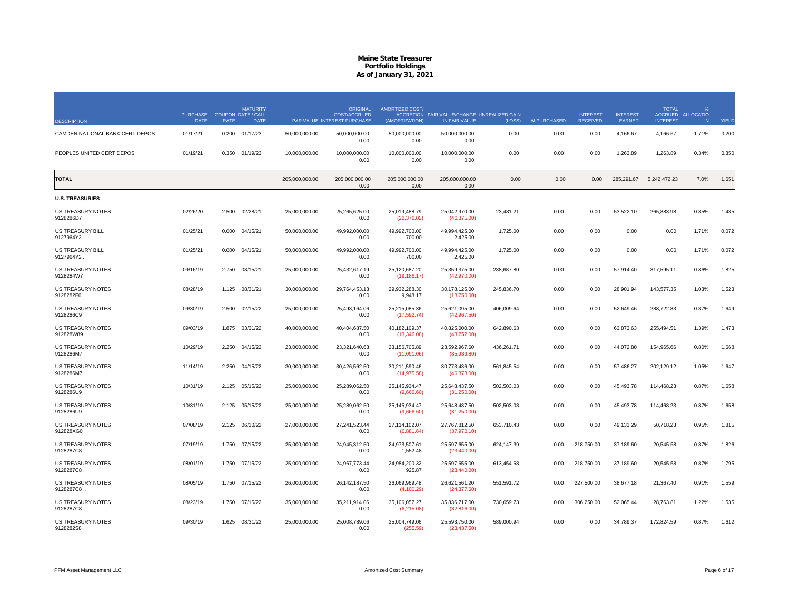|                                        | <b>PURCHASE</b> |             | <b>MATURITY</b><br><b>COUPON DATE / CALL</b> |                | <b>ORIGINAL</b><br><b>COST/ACCRUED</b> | <b>AMORTIZED COST/</b>         | ACCRETION FAIR VALUE/CHANGE UNREALIZED GAIN |            |              | <b>INTEREST</b> | <b>INTEREST</b> | <b>TOTAL</b>    | $\mathbf{o}_k$<br>ACCRUED ALLOCATIO |       |
|----------------------------------------|-----------------|-------------|----------------------------------------------|----------------|----------------------------------------|--------------------------------|---------------------------------------------|------------|--------------|-----------------|-----------------|-----------------|-------------------------------------|-------|
| <b>DESCRIPTION</b>                     | <b>DATE</b>     | <b>RATE</b> | <b>DATE</b>                                  |                | PAR VALUE INTEREST PURCHASE            | (AMORTIZATION)                 | IN FAIR VALUE                               | (LOSS)     | AI PURCHASED | <b>RECEIVED</b> | EARNED          | <b>INTEREST</b> | N                                   | YIELD |
| CAMDEN NATIONAL BANK CERT DEPOS        | 01/17/21        | 0.200       | 01/17/23                                     | 50,000,000.00  | 50,000,000.00<br>0.00                  | 50,000,000.00<br>0.00          | 50,000,000.00<br>0.00                       | 0.00       | 0.00         | 0.00            | 4,166.67        | 4,166.67        | 1.71%                               | 0.200 |
| PEOPLES UNITED CERT DEPOS              | 01/19/21        |             | 0.350 01/19/23                               | 10,000,000.00  | 10,000,000.00<br>0.00                  | 10,000,000.00<br>0.00          | 10,000,000.00<br>0.00                       | 0.00       | 0.00         | 0.00            | 1,263.89        | 1,263.89        | 0.34%                               | 0.350 |
| <b>TOTAL</b>                           |                 |             |                                              | 205,000,000.00 | 205,000,000.00<br>0.00                 | 205,000,000.00<br>0.00         | 205,000,000.00<br>0.00                      | 0.00       | 0.00         | 0.00            | 285,291.67      | 5,242,472.23    | 7.0%                                | 1.651 |
| <b>U.S. TREASURIES</b>                 |                 |             |                                              |                |                                        |                                |                                             |            |              |                 |                 |                 |                                     |       |
| <b>US TREASURY NOTES</b><br>9128286D7  | 02/26/20        | 2.500       | 02/28/21                                     | 25,000,000.00  | 25,265,625.00<br>0.00                  | 25,019,488.79<br>(22, 376.02)  | 25,042,970.00<br>(46, 875.00)               | 23,481.21  | 0.00         | 0.00            | 53,522.10       | 265,883.98      | 0.85%                               | 1.435 |
| <b>US TREASURY BILL</b><br>9127964Y2   | 01/25/21        | 0.000       | 04/15/21                                     | 50.000.000.00  | 49.992.000.00<br>0.00                  | 49.992.700.00<br>700.00        | 49.994.425.00<br>2,425.00                   | 1.725.00   | 0.00         | 0.00            | 0.00            | 0.00            | 1.71%                               | 0.072 |
| <b>US TREASURY BILL</b><br>9127964Y2.  | 01/25/21        | 0.000       | 04/15/21                                     | 50,000,000.00  | 49,992,000.00<br>0.00                  | 49,992,700.00<br>700.00        | 49,994,425.00<br>2,425.00                   | 1,725.00   | 0.00         | 0.00            | 0.00            | 0.00            | 1.71%                               | 0.072 |
| <b>US TREASURY NOTES</b><br>9128284W7  | 09/16/19        | 2.750       | 08/15/21                                     | 25,000,000.00  | 25,432,617.19<br>0.00                  | 25,120,687.20<br>(19, 186.17)  | 25,359,375.00<br>(42, 970.00)               | 238,687.80 | 0.00         | 0.00            | 57,914.40       | 317,595.11      | 0.86%                               | 1.825 |
| <b>US TREASURY NOTES</b><br>9128282F6  | 08/28/19        | 1.125       | 08/31/21                                     | 30,000,000.00  | 29,764,453.13<br>0.00                  | 29,932,288.30<br>9,948.17      | 30,178,125.00<br>(18,750.00)                | 245,836.70 | 0.00         | 0.00            | 28,901.94       | 143,577.35      | 1.03%                               | 1.523 |
| <b>US TREASURY NOTES</b><br>9128286C9  | 09/30/19        | 2.500       | 02/15/22                                     | 25,000,000.00  | 25,493,164.06<br>0.00                  | 25,215,085.36<br>(17, 592.74)  | 25,621,095.00<br>(42, 967.50)               | 406,009.64 | 0.00         | 0.00            | 52,649.46       | 288,722.83      | 0.87%                               | 1.649 |
| US TREASURY NOTES<br>912828W89         | 09/03/19        | 1.875       | 03/31/22                                     | 40,000,000.00  | 40,404,687.50<br>0.00                  | 40,182,109.37<br>(13,346.08)   | 40,825,000.00<br>(43,752.00)                | 642,890.63 | 0.00         | 0.00            | 63,873.63       | 255,494.51      | 1.39%                               | 1.473 |
| <b>US TREASURY NOTES</b><br>9128286M7  | 10/29/19        | 2.250       | 04/15/22                                     | 23,000,000.00  | 23,321,640.63<br>0.00                  | 23,156,705.89<br>(11,091.06)   | 23,592,967.60<br>(35,939.80)                | 436,261.71 | 0.00         | 0.00            | 44,072.80       | 154,965.66      | 0.80%                               | 1.668 |
| <b>US TREASURY NOTES</b><br>9128286M7. | 11/14/19        | 2.250       | 04/15/22                                     | 30,000,000.00  | 30,426,562.50<br>0.00                  | 30,211,590.46<br>(14, 975.58)  | 30,773,436.00<br>(46,878.00)                | 561,845.54 | 0.00         | 0.00            | 57,486.27       | 202,129.12      | 1.05%                               | 1.647 |
| <b>US TREASURY NOTES</b><br>9128286U9  | 10/31/19        | 2.125       | 05/15/22                                     | 25,000,000.00  | 25,289,062.50<br>0.00                  | 25, 145, 934. 47<br>(9,666.60) | 25,648,437.50<br>(31,250.00)                | 502,503.03 | 0.00         | 0.00            | 45,493.78       | 114,468.23      | 0.87%                               | 1.658 |
| <b>US TREASURY NOTES</b><br>9128286U9  | 10/31/19        |             | 2.125 05/15/22                               | 25,000,000.00  | 25,289,062.50<br>0.00                  | 25, 145, 934. 47<br>(9,666.60) | 25,648,437.50<br>(31, 250.00)               | 502,503.03 | 0.00         | 0.00            | 45,493.78       | 114,468.23      | 0.87%                               | 1.658 |
| <b>US TREASURY NOTES</b><br>912828XG0  | 07/08/19        | 2.125       | 06/30/22                                     | 27,000,000.00  | 27,241,523.44<br>0.00                  | 27,114,102.07<br>(6,881.64)    | 27,767,812.50<br>(37,970.10)                | 653,710.43 | 0.00         | 0.00            | 49,133.29       | 50,718.23       | 0.95%                               | 1.815 |
| US TREASURY NOTES<br>9128287C8         | 07/19/19        | 1.750       | 07/15/22                                     | 25,000,000.00  | 24,945,312.50<br>0.00                  | 24,973,507.61<br>1,552.48      | 25,597,655.00<br>(23, 440.00)               | 624,147.39 | 0.00         | 218,750.00      | 37,189.60       | 20,545.58       | 0.87%                               | 1.826 |
| <b>US TREASURY NOTES</b><br>9128287C8  | 08/01/19        | 1.750       | 07/15/22                                     | 25,000,000.00  | 24,967,773.44<br>0.00                  | 24,984,200.32<br>925.87        | 25,597,655.00<br>(23, 440.00)               | 613,454.68 | 0.00         | 218,750.00      | 37,189.60       | 20,545.58       | 0.87%                               | 1.795 |
| <b>US TREASURY NOTES</b><br>9128287C8  | 08/05/19        | 1.750       | 07/15/22                                     | 26,000,000.00  | 26, 142, 187.50<br>0.00                | 26.069.969.48<br>(4,100.29)    | 26,621,561.20<br>(24, 377.60)               | 551,591.72 | 0.00         | 227,500.00      | 38,677.18       | 21,367.40       | 0.91%                               | 1.559 |
| <b>US TREASURY NOTES</b><br>9128287C8  | 08/23/19        | 1.750       | 07/15/22                                     | 35,000,000.00  | 35,211,914.06<br>0.00                  | 35,106,057.27<br>(6,215.08)    | 35,836,717.00<br>(32,816.00)                | 730,659.73 | 0.00         | 306,250.00      | 52,065.44       | 28,763.81       | 1.22%                               | 1.535 |
| <b>US TREASURY NOTES</b><br>9128282S8  | 09/30/19        | 1.625       | 08/31/22                                     | 25,000,000.00  | 25,008,789.06<br>0.00                  | 25,004,749.06<br>(255.59)      | 25,593,750.00<br>(23, 437.50)               | 589,000.94 | 0.00         | 0.00            | 34,789.37       | 172,824.59      | 0.87%                               | 1.612 |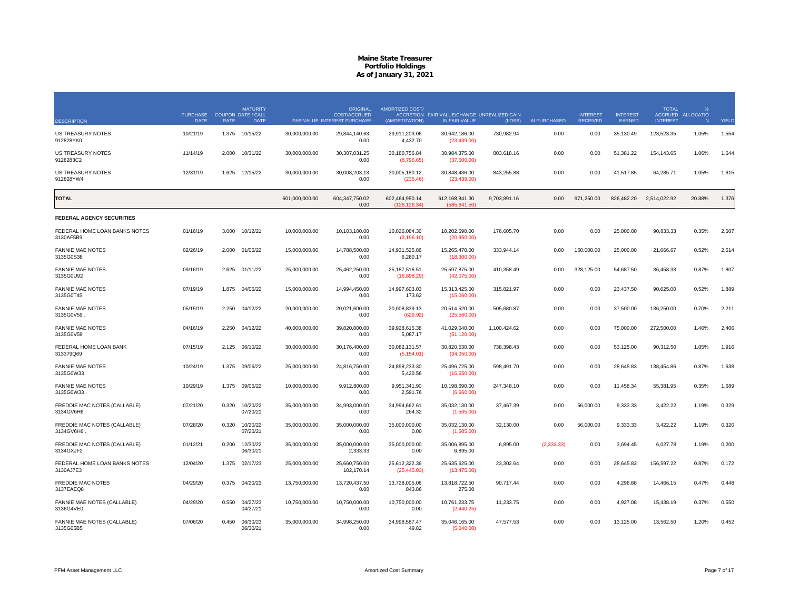| <b>DESCRIPTION</b>                         | <b>PURCHASE</b><br><b>DATE</b> | <b>RATE</b> | <b>MATURITY</b><br><b>COUPON DATE / CALL</b><br><b>DATE</b> |                | <b>ORIGINAL</b><br><b>COST/ACCRUED</b><br>PAR VALUE INTEREST PURCHASE | AMORTIZED COST/<br>(AMORTIZATION) | ACCRETION FAIR VALUE/CHANGE UNREALIZED GAIN<br>IN FAIR VALUE | (LOSS)       | AI PURCHASED | <b>INTEREST</b><br><b>RECEIVED</b> | <b>INTEREST</b><br>EARNED | <b>TOTAL</b><br><b>INTEREST</b> | ACCRUED ALLOCATIO<br>N | <b>YIELD</b> |
|--------------------------------------------|--------------------------------|-------------|-------------------------------------------------------------|----------------|-----------------------------------------------------------------------|-----------------------------------|--------------------------------------------------------------|--------------|--------------|------------------------------------|---------------------------|---------------------------------|------------------------|--------------|
| <b>US TREASURY NOTES</b><br>912828YK0      | 10/21/19                       | 1.375       | 10/15/22                                                    | 30,000,000.00  | 29.844.140.63<br>0.00                                                 | 29.911.203.06<br>4,432.70         | 30.642.186.00<br>(23, 439.00)                                | 730,982.94   | 0.00         | 0.00                               | 35,130.49                 | 123,523.35                      | 1.05%                  | 1.554        |
| <b>US TREASURY NOTES</b><br>9128283C2      | 11/14/19                       | 2.000       | 10/31/22                                                    | 30,000,000.00  | 30,307,031.25<br>0.00                                                 | 30,180,756.84<br>(8,796.65)       | 30,984,375.00<br>(37,500.00)                                 | 803,618.16   | 0.00         | 0.00                               | 51,381.22                 | 154,143.65                      | 1.06%                  | 1.644        |
| <b>US TREASURY NOTES</b><br>912828YW4      | 12/31/19                       | 1.625       | 12/15/22                                                    | 30,000,000.00  | 30,008,203.13<br>0.00                                                 | 30,005,180.12<br>(235.46)         | 30,848,436.00<br>(23, 439.00)                                | 843,255.88   | 0.00         | 0.00                               | 41,517.85                 | 64,285.71                       | 1.05%                  | 1.615        |
| <b>TOTAL</b>                               |                                |             |                                                             | 601,000,000.00 | 604,347,750.02<br>0.00                                                | 602,464,950.14<br>(126, 126.34)   | 612,168,841.30<br>(585.641.50)                               | 9,703,891.16 | 0.00         | 971,250.00                         | 826,482.20                | 2,514,022.92                    | 20.88%                 | 1.376        |
| <b>FEDERAL AGENCY SECURITIES</b>           |                                |             |                                                             |                |                                                                       |                                   |                                                              |              |              |                                    |                           |                                 |                        |              |
| FEDERAL HOME LOAN BANKS NOTES<br>3130AF5B9 | 01/16/19                       | 3.000       | 10/12/21                                                    | 10,000,000.00  | 10,103,100.00<br>0.00                                                 | 10,026,084.30<br>(3, 196.10)      | 10,202,690.00<br>(20,950.00)                                 | 176,605.70   | 0.00         | 0.00                               | 25,000.00                 | 90,833.33                       | 0.35%                  | 2.607        |
| <b>FANNIE MAE NOTES</b><br>3135G0S38       | 02/26/19                       | 2.000       | 01/05/22                                                    | 15,000,000.00  | 14,788,500.00<br>0.00                                                 | 14,931,525.86<br>6.280.17         | 15,265,470.00<br>(18,300.00)                                 | 333,944.14   | 0.00         | 150,000.00                         | 25,000.00                 | 21,666.67                       | 0.52%                  | 2.514        |
| <b>FANNIE MAE NOTES</b><br>3135G0U92       | 09/16/19                       | 2.625       | 01/11/22                                                    | 25,000,000.00  | 25,462,250.00<br>0.00                                                 | 25, 187, 516.51<br>(16,898.29)    | 25,597,875.00<br>(42,075.00)                                 | 410,358.49   | 0.00         | 328,125.00                         | 54,687.50                 | 36,458.33                       | 0.87%                  | 1.807        |
| <b>FANNIE MAE NOTES</b><br>3135G0T45       | 07/19/19                       | 1.875       | 04/05/22                                                    | 15,000,000.00  | 14,994,450.00<br>0.00                                                 | 14,997,603.03<br>173.62           | 15,313,425.00<br>(15,060.00)                                 | 315,821.97   | 0.00         | 0.00                               | 23,437.50                 | 90,625.00                       | 0.52%                  | 1.889        |
| <b>FANNIE MAE NOTES</b><br>3135G0V59       | 05/15/19                       | 2.250       | 04/12/22                                                    | 20,000,000.00  | 20,021,600.00<br>0.00                                                 | 20,008,839.13<br>(629.92)         | 20,514,520.00<br>(25,560.00)                                 | 505,680.87   | 0.00         | 0.00                               | 37,500.00                 | 136,250.00                      | 0.70%                  | 2.211        |
| <b>FANNIE MAE NOTES</b><br>3135G0V59       | 04/16/19                       | 2.250       | 04/12/22                                                    | 40,000,000.00  | 39,820,800.00<br>0.00                                                 | 39,928,615.38<br>5,087.17         | 41,029,040.00<br>(51, 120.00)                                | 1,100,424.62 | 0.00         | 0.00                               | 75,000.00                 | 272,500.00                      | 1.40%                  | 2.406        |
| FEDERAL HOME LOAN BANK<br>313379Q69        | 07/15/19                       |             | 2.125 06/10/22                                              | 30,000,000.00  | 30,176,400.00<br>0.00                                                 | 30,082,131.57<br>(5, 154.01)      | 30,820,530.00<br>(34,050.00)                                 | 738,398.43   | 0.00         | 0.00                               | 53,125.00                 | 90,312.50                       | 1.05%                  | 1.916        |
| <b>FANNIE MAE NOTES</b><br>3135G0W33       | 10/24/19                       | 1.375       | 09/06/22                                                    | 25,000,000.00  | 24,816,750.00<br>0.00                                                 | 24,898,233.30<br>5,420.56         | 25,496,725.00<br>(16,650.00)                                 | 598,491.70   | 0.00         | 0.00                               | 28,645.83                 | 138,454.86                      | 0.87%                  | 1.638        |
| <b>FANNIE MAE NOTES</b><br>3135G0W33       | 10/29/19                       | 1.375       | 09/06/22                                                    | 10.000.000.00  | 9.912.800.00<br>0.00                                                  | 9.951.341.90<br>2,591.76          | 10.198.690.00<br>(6,660.00)                                  | 247.348.10   | 0.00         | 0.00                               | 11.458.34                 | 55.381.95                       | 0.35%                  | 1.689        |
| FREDDIE MAC NOTES (CALLABLE)<br>3134GV6H6  | 07/21/20                       | 0.320       | 10/20/22<br>07/20/21                                        | 35,000,000.00  | 34,993,000.00<br>0.00                                                 | 34,994,662.61<br>264.32           | 35,032,130.00<br>(1,505.00)                                  | 37,467.39    | 0.00         | 56,000.00                          | 9,333.33                  | 3,422.22                        | 1.19%                  | 0.329        |
| FREDDIE MAC NOTES (CALLABLE)<br>3134GV6H6  | 07/28/20                       | 0.320       | 10/20/22<br>07/20/21                                        | 35,000,000.00  | 35,000,000.00<br>0.00                                                 | 35,000,000.00<br>0.00             | 35,032,130.00<br>(1,505.00)                                  | 32,130.00    | 0.00         | 56,000.00                          | 9,333.33                  | 3,422.22                        | 1.19%                  | 0.320        |
| FREDDIE MAC NOTES (CALLABLE)<br>3134GXJF2  | 01/12/21                       | 0.200       | 12/30/22<br>06/30/21                                        | 35,000,000.00  | 35,000,000.00<br>2,333.33                                             | 35,000,000.00<br>0.00             | 35,006,895.00<br>6,895.00                                    | 6,895.00     | (2,333.33)   | 0.00                               | 3,694.45                  | 6,027.78                        | 1.19%                  | 0.200        |
| FEDERAL HOME LOAN BANKS NOTES<br>3130AJ7E3 | 12/04/20                       |             | 1.375 02/17/23                                              | 25,000,000.00  | 25,660,750.00<br>102,170.14                                           | 25,612,322.36<br>(25, 445.03)     | 25,635,625.00<br>(13, 475.00)                                | 23,302.64    | 0.00         | 0.00                               | 28,645.83                 | 156,597.22                      | 0.87%                  | 0.172        |
| <b>FREDDIE MAC NOTES</b><br>3137EAEQ8      | 04/29/20                       | 0.375       | 04/20/23                                                    | 13,750,000.00  | 13,720,437.50<br>0.00                                                 | 13,728,005.06<br>843.86           | 13,818,722.50<br>275.00                                      | 90,717.44    | 0.00         | 0.00                               | 4,296.88                  | 14,466.15                       | 0.47%                  | 0.448        |
| FANNIE MAE NOTES (CALLABLE)<br>3136G4VE0   | 04/29/20                       | 0.550       | 04/27/23<br>04/27/21                                        | 10,750,000.00  | 10,750,000.00<br>0.00                                                 | 10,750,000.00<br>0.00             | 10,761,233.75<br>(2,440.25)                                  | 11,233.75    | 0.00         | 0.00                               | 4,927.08                  | 15,438.19                       | 0.37%                  | 0.550        |
| FANNIE MAE NOTES (CALLABLE)<br>3135G05B5   | 07/06/20                       | 0.450       | 06/30/23<br>06/30/21                                        | 35,000,000.00  | 34,998,250.00<br>0.00                                                 | 34,998,587.47<br>49.82            | 35,046,165.00<br>(5,040.00)                                  | 47,577.53    | 0.00         | 0.00                               | 13,125.00                 | 13,562.50                       | 1.20%                  | 0.452        |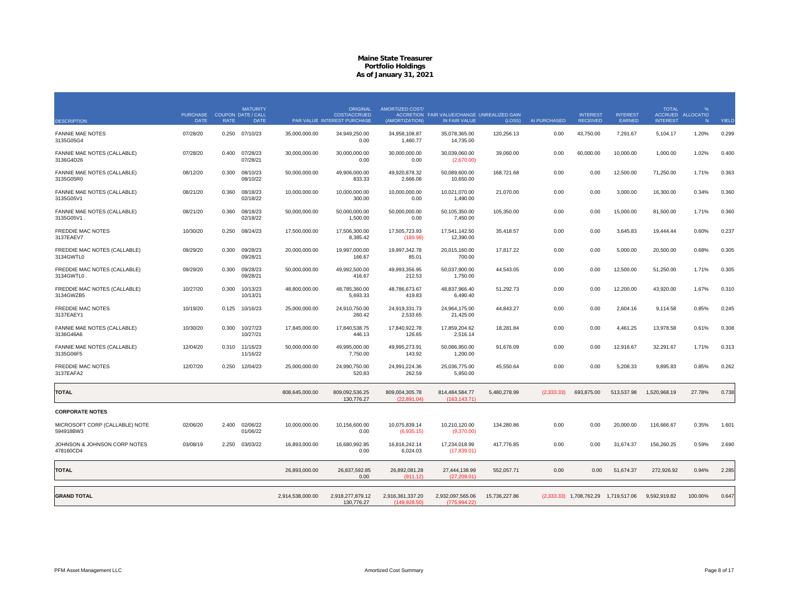|                                             | <b>PURCHASE</b><br>DATE | <b>RATE</b> | <b>MATURITY</b><br><b>COUPON DATE / CALL</b><br><b>DATE</b> |                  | <b>ORIGINAL</b><br><b>COST/ACCRUED</b><br>PAR VALUE INTEREST PURCHASE | AMORTIZED COST/<br>(AMORTIZATION) | ACCRETION FAIR VALUE/CHANGE UNREALIZED GAIN<br>IN FAIR VALUE | (LOSS)        | AI PURCHASED | <b>INTEREST</b><br><b>RECEIVED</b>   | <b>INTEREST</b><br><b>EARNED</b> | <b>TOTAL</b><br><b>INTEREST</b> | $\frac{9}{6}$<br>ACCRUED ALLOCATIO<br>N | YIELD |
|---------------------------------------------|-------------------------|-------------|-------------------------------------------------------------|------------------|-----------------------------------------------------------------------|-----------------------------------|--------------------------------------------------------------|---------------|--------------|--------------------------------------|----------------------------------|---------------------------------|-----------------------------------------|-------|
| <b>DESCRIPTION</b>                          |                         |             |                                                             |                  |                                                                       |                                   |                                                              |               |              |                                      |                                  |                                 |                                         |       |
| <b>FANNIE MAE NOTES</b><br>3135G05G4        | 07/28/20                |             | 0.250 07/10/23                                              | 35,000,000.00    | 34,949,250.00<br>0.00                                                 | 34,958,108.87<br>1.460.77         | 35,078,365.00<br>14.735.00                                   | 120,256.13    | 0.00         | 43,750.00                            | 7,291.67                         | 5,104.17                        | 1.20%                                   | 0.299 |
| FANNIE MAE NOTES (CALLABLE)<br>3136G4D26    | 07/28/20                | 0.400       | 07/28/23<br>07/28/21                                        | 30,000,000.00    | 30,000,000.00<br>0.00                                                 | 30,000,000.00<br>0.00             | 30,039,060.00<br>(2,670.00)                                  | 39,060.00     | 0.00         | 60,000.00                            | 10,000.00                        | 1,000.00                        | 1.02%                                   | 0.400 |
| FANNIE MAE NOTES (CALLABLE)<br>3135G05R0    | 08/12/20                | 0.300       | 08/10/23<br>08/10/22                                        | 50,000,000.00    | 49,906,000.00<br>833.33                                               | 49,920,878.32<br>2,666.06         | 50,089,600.00<br>10.650.00                                   | 168,721.68    | 0.00         | 0.00                                 | 12,500.00                        | 71,250.00                       | 1.71%                                   | 0.363 |
| FANNIE MAE NOTES (CALLABLE)<br>3135G05V1    | 08/21/20                | 0.360       | 08/18/23<br>02/18/22                                        | 10,000,000.00    | 10,000,000.00<br>300.00                                               | 10,000,000.00<br>0.00             | 10,021,070.00<br>1,490.00                                    | 21,070.00     | 0.00         | 0.00                                 | 3,000.00                         | 16,300.00                       | 0.34%                                   | 0.360 |
| FANNIE MAE NOTES (CALLABLE)<br>3135G05V1.   | 08/21/20                | 0.360       | 08/18/23<br>02/18/22                                        | 50,000,000.00    | 50,000,000.00<br>1,500.00                                             | 50,000,000.00<br>0.00             | 50,105,350.00<br>7,450.00                                    | 105,350.00    | 0.00         | 0.00                                 | 15,000.00                        | 81,500.00                       | 1.71%                                   | 0.360 |
| <b>FREDDIE MAC NOTES</b><br>3137EAEV7       | 10/30/20                | 0.250       | 08/24/23                                                    | 17,500,000.00    | 17,506,300.00<br>8,385.42                                             | 17,505,723.93<br>(189.98)         | 17,541,142.50<br>12,390.00                                   | 35,418.57     | 0.00         | 0.00                                 | 3,645.83                         | 19,444.44                       | 0.60%                                   | 0.237 |
| FREDDIE MAC NOTES (CALLABLE)<br>3134GWTL0   | 09/29/20                | 0.300       | 09/28/23<br>09/28/21                                        | 20,000,000.00    | 19,997,000.00<br>166.67                                               | 19,997,342.78<br>85.01            | 20,015,160.00<br>700.00                                      | 17,817.22     | 0.00         | 0.00                                 | 5,000.00                         | 20,500.00                       | 0.68%                                   | 0.305 |
| FREDDIE MAC NOTES (CALLABLE)<br>3134GWTL0   | 09/29/20                | 0.300       | 09/28/23<br>09/28/21                                        | 50,000,000.00    | 49,992,500.00<br>416.67                                               | 49,993,356.95<br>212.53           | 50,037,900.00<br>1,750.00                                    | 44,543.05     | 0.00         | 0.00                                 | 12,500.00                        | 51,250.00                       | 1.71%                                   | 0.305 |
| FREDDIE MAC NOTES (CALLABLE)<br>3134GWZB5   | 10/27/20                | 0.300       | 10/13/23<br>10/13/21                                        | 48,800,000.00    | 48,785,360.00<br>5,693.33                                             | 48,786,673.67<br>419.83           | 48,837,966.40<br>6,490.40                                    | 51,292.73     | 0.00         | 0.00                                 | 12,200.00                        | 43,920.00                       | 1.67%                                   | 0.310 |
| FREDDIE MAC NOTES<br>3137EAEY1              | 10/19/20                | 0.125       | 10/16/23                                                    | 25,000,000.00    | 24,910,750.00<br>260.42                                               | 24,919,331.73<br>2,533.65         | 24,964,175.00<br>21,425.00                                   | 44,843.27     | 0.00         | 0.00                                 | 2,604.16                         | 9.114.58                        | 0.85%                                   | 0.245 |
| FANNIE MAE NOTES (CALLABLE)<br>3136G46A6    | 10/30/20                | 0.300       | 10/27/23<br>10/27/21                                        | 17,845,000.00    | 17,840,538.75<br>446.13                                               | 17,840,922.78<br>126.65           | 17,859,204.62<br>2,516.14                                    | 18,281.84     | 0.00         | 0.00                                 | 4,461.25                         | 13,978.58                       | 0.61%                                   | 0.308 |
| FANNIE MAE NOTES (CALLABLE)<br>3135G06F5    | 12/04/20                | 0.310       | 11/16/23<br>11/16/22                                        | 50,000,000.00    | 49,995,000.00<br>7,750.00                                             | 49,995,273.91<br>143.92           | 50,086,950.00<br>1,200.00                                    | 91,676.09     | 0.00         | 0.00                                 | 12,916.67                        | 32,291.67                       | 1.71%                                   | 0.313 |
| <b>FREDDIE MAC NOTES</b><br>3137EAFA2       | 12/07/20                | 0.250       | 12/04/23                                                    | 25,000,000.00    | 24,990,750.00<br>520.83                                               | 24,991,224.36<br>262.59           | 25,036,775.00<br>5,950.00                                    | 45,550.64     | 0.00         | 0.00                                 | 5,208.33                         | 9,895.83                        | 0.85%                                   | 0.262 |
| <b>TOTAL</b>                                |                         |             |                                                             | 808,645,000.00   | 809,092,536.25<br>130,776.27                                          | 809,004,305.78<br>(22.891.04)     | 814,484,584.77<br>(163, 143.71)                              | 5,480,278.99  | (2, 333.33)  | 693,875.00                           | 513,537.98                       | 1,520,968.19                    | 27.78%                                  | 0.738 |
| <b>CORPORATE NOTES</b>                      |                         |             |                                                             |                  |                                                                       |                                   |                                                              |               |              |                                      |                                  |                                 |                                         |       |
| MICROSOFT CORP (CALLABLE) NOTE<br>594918BW3 | 02/06/20                | 2.400       | 02/06/22<br>01/06/22                                        | 10,000,000.00    | 10,156,600.00<br>0.00                                                 | 10,075,839.14<br>(6,935.15)       | 10,210,120.00<br>(9,370.00)                                  | 134,280.86    | 0.00         | 0.00                                 | 20,000.00                        | 116,666.67                      | 0.35%                                   | 1.601 |
| JOHNSON & JOHNSON CORP NOTES<br>478160CD4   | 03/08/19                | 2.250       | 03/03/22                                                    | 16,893,000.00    | 16,680,992.85<br>0.00                                                 | 16,816,242.14<br>6,024.03         | 17,234,018.99<br>(17,839.01)                                 | 417,776.85    | 0.00         | 0.00                                 | 31,674.37                        | 156,260.25                      | 0.59%                                   | 2.690 |
| <b>TOTAL</b>                                |                         |             |                                                             | 26,893,000.00    | 26,837,592.85<br>0.00                                                 | 26,892,081.28<br>(911.12)         | 27,444,138.99<br>(27.209.01)                                 | 552,057.71    | 0.00         | 0.00                                 | 51,674.37                        | 272,926.92                      | 0.94%                                   | 2.285 |
| <b>GRAND TOTAL</b>                          |                         |             |                                                             | 2,914,538,000.00 | 2.918.277.879.12<br>130,776.27                                        | 2,916,361,337.20<br>(149.928.50)  | 2,932,097,565.06<br>(775.994.22)                             | 15,736,227.86 |              | (2,333.33) 1,708,762.29 1,719,517.06 |                                  | 9,592,919.82                    | 100.00%                                 | 0.647 |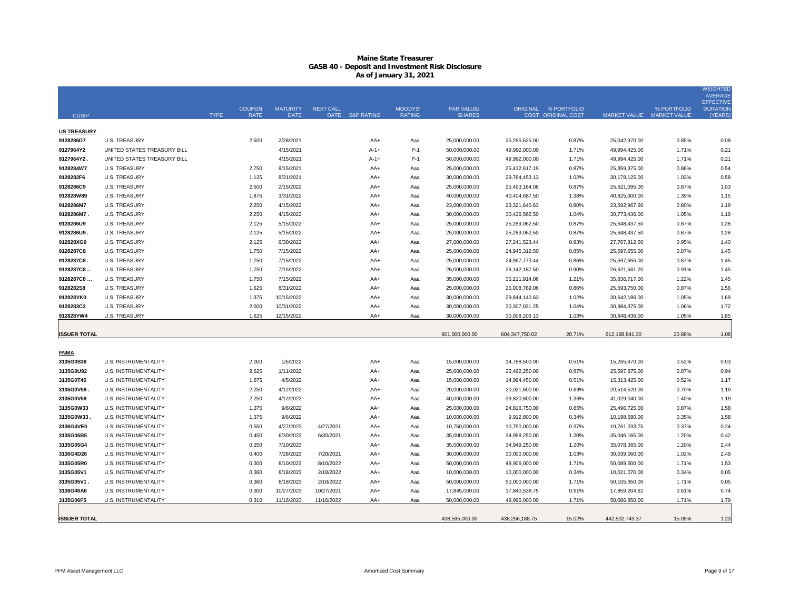|                        |                                              |             |                |                        |                  |                 |               |                                |                                |                      |                                |                           | <b>WEIGHTED</b><br><b>AVERAGE</b>   |
|------------------------|----------------------------------------------|-------------|----------------|------------------------|------------------|-----------------|---------------|--------------------------------|--------------------------------|----------------------|--------------------------------|---------------------------|-------------------------------------|
|                        |                                              |             | <b>COUPON</b>  | <b>MATURITY</b>        | <b>NEXT CALL</b> |                 | MOODYS'       | PAR VALUE/                     |                                | ORIGINAL % PORTFOLIO |                                | % PORTFOLIO               | <b>EFFECTIVE</b><br><b>DURATION</b> |
| <b>CUSIP</b>           |                                              | <b>TYPE</b> | <b>RATE</b>    | <b>DATE</b>            |                  | DATE S&P RATING | <b>RATING</b> | <b>SHARES</b>                  |                                | COST ORIGINAL COST   |                                | MARKET VALUE MARKET VALUE | (YEARS)                             |
| <b>US TREASURY</b>     |                                              |             |                |                        |                  |                 |               |                                |                                |                      |                                |                           |                                     |
| 9128286D7              | <b>U.S. TREASURY</b>                         |             | 2.500          | 2/28/2021              |                  | AA+             | Aaa           | 25,000,000.00                  | 25,265,625.00                  | 0.87%                | 25,042,970.00                  | 0.85%                     | 0.08                                |
| 9127964Y2              | UNITED STATES TREASURY BILL                  |             |                | 4/15/2021              |                  | $A-1+$          | $P-1$         | 50,000,000.00                  | 49,992,000.00                  | 1.71%                | 49,994,425.00                  | 1.71%                     | 0.21                                |
| 9127964Y2.             | UNITED STATES TREASURY BILL                  |             |                | 4/15/2021              |                  | $A-1+$          | $P-1$         | 50,000,000.00                  | 49,992,000.00                  | 1.71%                | 49,994,425.00                  | 1.71%                     | 0.21                                |
| 9128284W7              | <b>U.S. TREASURY</b>                         |             | 2.750          | 8/15/2021              |                  | AA+             | Aaa           | 25,000,000.00                  | 25,432,617.19                  | 0.87%                | 25,359,375.00                  | 0.86%                     | 0.54                                |
| 9128282F6              | <b>U.S. TREASURY</b>                         |             | 1.125          | 8/31/2021              |                  | AA+             | Aaa           | 30,000,000.00                  | 29,764,453.13                  | 1.02%                | 30,178,125.00                  | 1.03%                     | 0.58                                |
| 9128286C9              | <b>U.S. TREASURY</b>                         |             | 2.500          | 2/15/2022              |                  | AA+             | Aaa           | 25,000,000.00                  | 25,493,164.06                  | 0.87%                | 25,621,095.00                  | 0.87%                     | 1.03                                |
| 912828W89              | <b>U.S. TREASURY</b>                         |             | 1.875          | 3/31/2022              |                  | AA+             | Aaa           | 40,000,000.00                  | 40,404,687.50                  | 1.38%                | 40,825,000.00                  | 1.39%                     | 1.15                                |
| 9128286M7              | <b>U.S. TREASURY</b>                         |             | 2.250          | 4/15/2022              |                  | AA+             | Aaa           | 23,000,000.00                  | 23,321,640.63                  | 0.80%                | 23,592,967.60                  | 0.80%                     | 1.19                                |
| 9128286M7.             | <b>U.S. TREASURY</b>                         |             | 2.250          | 4/15/2022              |                  | AA+             | Aaa           | 30,000,000.00                  | 30,426,562.50                  | 1.04%                | 30,773,436.00                  | 1.05%                     | 1.19                                |
| 9128286U9              | <b>U.S. TREASURY</b>                         |             | 2.125          | 5/15/2022              |                  | $AA+$           | Aaa           | 25,000,000.00                  | 25,289,062.50                  | 0.87%                | 25,648,437.50                  | 0.87%                     | 1.28                                |
| 9128286U9              | <b>U.S. TREASURY</b>                         |             | 2.125          | 5/15/2022              |                  | AA+             | Aaa           | 25,000,000.00                  | 25,289,062.50                  | 0.87%                | 25,648,437.50                  | 0.87%                     | 1.28                                |
| 912828XG0              | <b>U.S. TREASURY</b>                         |             | 2.125          | 6/30/2022              |                  | AA+             | Aaa           | 27,000,000.00                  | 27,241,523.44                  | 0.93%                | 27,767,812.50                  | 0.95%                     | 1.40                                |
| 9128287C8<br>9128287C8 | U.S. TREASURY<br><b>U.S. TREASURY</b>        |             | 1.750<br>1.750 | 7/15/2022<br>7/15/2022 |                  | $AA+$<br>AA+    | Aaa<br>Aaa    | 25,000,000.00<br>25,000,000.00 | 24,945,312.50<br>24,967,773.44 | 0.85%<br>0.86%       | 25,597,655.00<br>25,597,655.00 | 0.87%<br>0.87%            | 1.45<br>1.45                        |
| 9128287C8.             | <b>U.S. TREASURY</b>                         |             | 1.750          | 7/15/2022              |                  | AA+             | Aaa           | 26,000,000.00                  | 26,142,187.50                  | 0.90%                | 26,621,561.20                  | 0.91%                     | 1.45                                |
| 9128287C8              | <b>U.S. TREASURY</b>                         |             | 1.750          | 7/15/2022              |                  | AA+             | Aaa           | 35,000,000.00                  | 35,211,914.06                  | 1.21%                | 35,836,717.00                  | 1.22%                     | 1.45                                |
| 9128282S8              | <b>U.S. TREASURY</b>                         |             | 1.625          | 8/31/2022              |                  | $AA+$           | Aaa           | 25,000,000.00                  | 25,008,789.06                  | 0.86%                | 25,593,750.00                  | 0.87%                     | 1.56                                |
| 912828YK0              | U.S. TREASURY                                |             | 1.375          | 10/15/2022             |                  | AA+             | Aaa           | 30,000,000.00                  | 29,844,140.63                  | 1.02%                | 30,642,186.00                  | 1.05%                     | 1.69                                |
| 9128283C2              | <b>U.S. TREASURY</b>                         |             | 2.000          | 10/31/2022             |                  | AA+             | Aaa           | 30,000,000.00                  | 30,307,031.25                  | 1.04%                | 30,984,375.00                  | 1.06%                     | 1.72                                |
| 912828YW4              | <b>U.S. TREASURY</b>                         |             | 1.625          | 12/15/2022             |                  | AA+             | Aaa           | 30,000,000.00                  | 30,008,203.13                  | 1.03%                | 30,848,436.00                  | 1.05%                     | 1.85                                |
|                        |                                              |             |                |                        |                  |                 |               |                                |                                |                      |                                |                           |                                     |
| <b>ISSUER TOTAL</b>    |                                              |             |                |                        |                  |                 |               | 601,000,000.00                 | 604, 347, 750.02               | 20.71%               | 612, 168, 841. 30              | 20.88%                    | 1.08                                |
|                        |                                              |             |                |                        |                  |                 |               |                                |                                |                      |                                |                           |                                     |
| <b>FNMA</b>            |                                              |             |                |                        |                  |                 |               |                                |                                |                      |                                |                           |                                     |
| 3135G0S38              | U.S. INSTRUMENTALITY                         |             | 2.000          | 1/5/2022               |                  | AA+             | Aaa           | 15,000,000.00                  | 14,788,500.00                  | 0.51%                | 15,265,470.00                  | 0.52%                     | 0.93                                |
| 3135G0U92              | U.S. INSTRUMENTALITY                         |             | 2.625          | 1/11/2022              |                  | AA+             | Aaa           | 25,000,000.00                  | 25,462,250.00                  | 0.87%                | 25,597,875.00                  | 0.87%                     | 0.94                                |
| 3135G0T45              | <b>U.S. INSTRUMENTALITY</b>                  |             | 1.875          | 4/5/2022               |                  | AA+             | Aaa           | 15,000,000.00                  | 14,994,450.00                  | 0.51%                | 15,313,425.00                  | 0.52%                     | 1.17                                |
| 3135G0V59              | U.S. INSTRUMENTALITY                         |             | 2.250          | 4/12/2022              |                  | AA+             | Aaa           | 20,000,000.00                  | 20,021,600.00                  | 0.69%                | 20,514,520.00                  | 0.70%                     | 1.19                                |
| 3135G0V59<br>3135G0W33 | U.S. INSTRUMENTALITY                         |             | 2.250<br>1.375 | 4/12/2022<br>9/6/2022  |                  | AA+             | Aaa           | 40,000,000.00                  | 39,820,800.00                  | 1.36%<br>0.85%       | 41,029,040.00                  | 1.40%<br>0.87%            | 1.19<br>1.58                        |
| 3135G0W33              | U.S. INSTRUMENTALITY<br>U.S. INSTRUMENTALITY |             | 1.375          | 9/6/2022               |                  | AA+<br>$AA+$    | Aaa<br>Aaa    | 25,000,000.00<br>10,000,000.00 | 24,816,750.00<br>9,912,800.00  | 0.34%                | 25,496,725.00<br>10,198,690.00 | 0.35%                     | 1.58                                |
| 3136G4VE0              | U.S. INSTRUMENTALITY                         |             | 0.550          | 4/27/2023              | 4/27/2021        | AA+             | Aaa           | 10,750,000.00                  | 10,750,000.00                  | 0.37%                | 10,761,233.75                  | 0.37%                     | 0.24                                |
| 3135G05B5              | U.S. INSTRUMENTALITY                         |             | 0.450          | 6/30/2023              | 6/30/2021        | AA+             | Aaa           | 35,000,000.00                  | 34,998,250.00                  | 1.20%                | 35,046,165.00                  | 1.20%                     | 0.42                                |
| 3135G05G4              | U.S. INSTRUMENTALITY                         |             | 0.250          | 7/10/2023              |                  | AA+             | Aaa           | 35,000,000.00                  | 34,949,250.00                  | 1.20%                | 35,078,365.00                  | 1.20%                     | 2.44                                |
| 3136G4D26              | <b>U.S. INSTRUMENTALITY</b>                  |             | 0.400          | 7/28/2023              | 7/28/2021        | AA+             | Aaa           | 30,000,000.00                  | 30,000,000.00                  | 1.03%                | 30,039,060.00                  | 1.02%                     | 2.49                                |
| 3135G05R0              | U.S. INSTRUMENTALITY                         |             | 0.300          | 8/10/2023              | 8/10/2022        | AA+             | Aaa           | 50,000,000.00                  | 49,906,000.00                  | 1.71%                | 50,089,600.00                  | 1.71%                     | 1.53                                |
| 3135G05V1              | U.S. INSTRUMENTALITY                         |             | 0.360          | 8/18/2023              | 2/18/2022        | AA+             | Aaa           | 10,000,000.00                  | 10,000,000.00                  | 0.34%                | 10,021,070.00                  | 0.34%                     | 0.05                                |
| 3135G05V1.             | U.S. INSTRUMENTALITY                         |             | 0.360          | 8/18/2023              | 2/18/2022        | $AA+$           | Aaa           | 50,000,000.00                  | 50,000,000.00                  | 1.71%                | 50,105,350.00                  | 1.71%                     | 0.05                                |
| 3136G46A6              | <b>U.S. INSTRUMENTALITY</b>                  |             | 0.300          | 10/27/2023             | 10/27/2021       | $AA+$           | Aaa           | 17,845,000.00                  | 17,840,538.75                  | 0.61%                | 17,859,204.62                  | 0.61%                     | 0.74                                |
| 3135G06F5              | U.S. INSTRUMENTALITY                         |             | 0.310          | 11/16/2023             | 11/16/2022       | AA+             | Aaa           | 50,000,000.00                  | 49,995,000.00                  | 1.71%                | 50,086,950.00                  | 1.71%                     | 1.79                                |
|                        |                                              |             |                |                        |                  |                 |               |                                |                                |                      |                                |                           |                                     |
| <b>ISSUER TOTAL</b>    |                                              |             |                |                        |                  |                 |               | 438,595,000.00                 | 438,256,188.75                 | 15.02%               | 442,502,743.37                 | 15.09%                    | 1.23                                |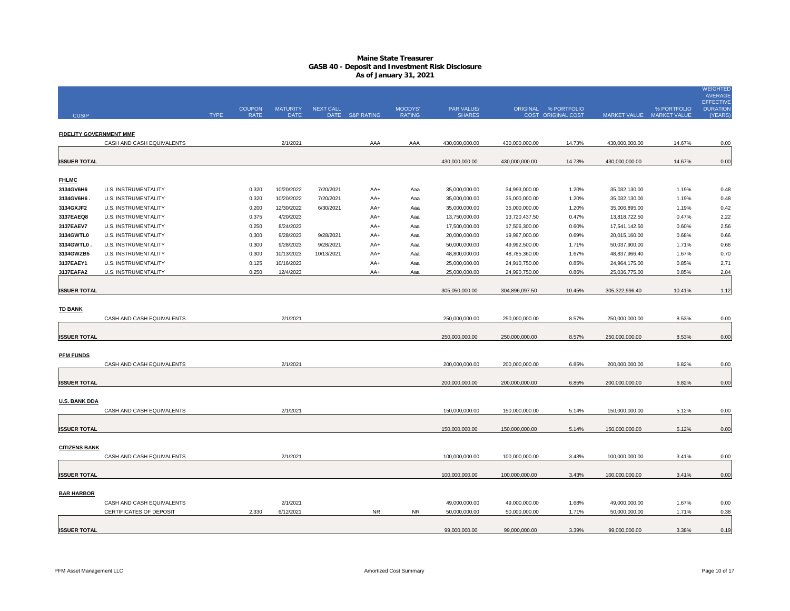|                                |                           |             |                              |                                |                  |                 |                          |                             |                |                                            |                           |             | <b>WEIGHTED</b><br><b>AVERAGE</b><br><b>EFFECTIVE</b> |
|--------------------------------|---------------------------|-------------|------------------------------|--------------------------------|------------------|-----------------|--------------------------|-----------------------------|----------------|--------------------------------------------|---------------------------|-------------|-------------------------------------------------------|
| <b>CUSIP</b>                   |                           | <b>TYPE</b> | <b>COUPON</b><br><b>RATE</b> | <b>MATURITY</b><br><b>DATE</b> | <b>NEXT CALL</b> | DATE S&P RATING | MOODYS'<br><b>RATING</b> | PAR VALUE/<br><b>SHARES</b> |                | ORIGINAL % PORTFOLIO<br>COST ORIGINAL COST | MARKET VALUE MARKET VALUE | % PORTFOLIO | <b>DURATION</b><br>(YEARS)                            |
| <b>FIDELITY GOVERNMENT MMF</b> | CASH AND CASH EQUIVALENTS |             |                              | 2/1/2021                       |                  | AAA             | AAA                      | 430,000,000.00              | 430,000,000.00 | 14.73%                                     | 430,000,000.00            | 14.67%      | 0.00                                                  |
| <b>ISSUER TOTAL</b>            |                           |             |                              |                                |                  |                 |                          | 430,000,000.00              | 430,000,000.00 | 14.73%                                     | 430,000,000.00            | 14.67%      | 0.00                                                  |
|                                |                           |             |                              |                                |                  |                 |                          |                             |                |                                            |                           |             |                                                       |
| <b>FHLMC</b><br>3134GV6H6      | U.S. INSTRUMENTALITY      |             | 0.320                        | 10/20/2022                     | 7/20/2021        | AA+             | Aaa                      | 35,000,000.00               | 34,993,000.00  | 1.20%                                      | 35,032,130.00             | 1.19%       | 0.48                                                  |
| 3134GV6H6.                     | U.S. INSTRUMENTALITY      |             | 0.320                        | 10/20/2022                     | 7/20/2021        | AA+             | Aaa                      | 35,000,000.00               | 35,000,000.00  | 1.20%                                      | 35,032,130.00             | 1.19%       | 0.48                                                  |
| 3134GXJF2                      | U.S. INSTRUMENTALITY      |             | 0.200                        | 12/30/2022                     | 6/30/2021        | AA+             | Aaa                      | 35,000,000.00               | 35,000,000.00  | 1.20%                                      | 35,006,895.00             | 1.19%       | 0.42                                                  |
| 3137EAEQ8                      | U.S. INSTRUMENTALITY      |             | 0.375                        | 4/20/2023                      |                  | AA+             | Aaa                      | 13,750,000.00               | 13,720,437.50  | 0.47%                                      | 13,818,722.50             | 0.47%       | 2.22                                                  |
| 3137EAEV7                      | U.S. INSTRUMENTALITY      |             | 0.250                        | 8/24/2023                      |                  | AA+             | Aaa                      | 17,500,000.00               | 17,506,300.00  | 0.60%                                      | 17,541,142.50             | 0.60%       | 2.56                                                  |
| 3134GWTL0                      | U.S. INSTRUMENTALITY      |             | 0.300                        | 9/28/2023                      | 9/28/2021        | AA+             | Aaa                      | 20,000,000.00               | 19,997,000.00  | 0.69%                                      | 20,015,160.00             | 0.68%       | 0.66                                                  |
| 3134GWTL0                      | U.S. INSTRUMENTALITY      |             | 0.300                        | 9/28/2023                      | 9/28/2021        | AA+             | Aaa                      | 50,000,000.00               | 49,992,500.00  | 1.71%                                      | 50,037,900.00             | 1.71%       | 0.66                                                  |
| 3134GWZB5                      | U.S. INSTRUMENTALITY      |             | 0.300                        | 10/13/2023                     | 10/13/2021       | AA+             | Aaa                      | 48,800,000.00               | 48,785,360.00  | 1.67%                                      | 48,837,966.40             | 1.67%       | 0.70                                                  |
| 3137EAEY1                      | U.S. INSTRUMENTALITY      |             | 0.125                        | 10/16/2023                     |                  | AA+             | Aaa                      | 25,000,000.00               | 24,910,750.00  | 0.85%                                      | 24,964,175.00             | 0.85%       | 2.71                                                  |
| 3137EAFA2                      | U.S. INSTRUMENTALITY      |             | 0.250                        | 12/4/2023                      |                  | AA+             | Aaa                      | 25,000,000.00               | 24,990,750.00  | 0.86%                                      | 25,036,775.00             | 0.85%       | 2.84                                                  |
| <b>ISSUER TOTAL</b>            |                           |             |                              |                                |                  |                 |                          | 305,050,000.00              | 304,896,097.50 | 10.45%                                     | 305,322,996.40            | 10.41%      | 1.12                                                  |
|                                |                           |             |                              |                                |                  |                 |                          |                             |                |                                            |                           |             |                                                       |
| <b>TD BANK</b>                 | CASH AND CASH EQUIVALENTS |             |                              | 2/1/2021                       |                  |                 |                          | 250,000,000.00              | 250,000,000.00 | 8.57%                                      | 250,000,000.00            | 8.53%       | 0.00                                                  |
| <b>ISSUER TOTAL</b>            |                           |             |                              |                                |                  |                 |                          | 250,000,000.00              | 250,000,000.00 | 8.57%                                      | 250,000,000.00            | 8.53%       | 0.00                                                  |
| <b>PFM FUNDS</b>               |                           |             |                              |                                |                  |                 |                          |                             |                |                                            |                           |             |                                                       |
|                                | CASH AND CASH EQUIVALENTS |             |                              | 2/1/2021                       |                  |                 |                          | 200,000,000.00              | 200,000,000.00 | 6.85%                                      | 200,000,000.00            | 6.82%       | 0.00                                                  |
| <b>ISSUER TOTAL</b>            |                           |             |                              |                                |                  |                 |                          | 200,000,000.00              | 200,000,000.00 | 6.85%                                      | 200,000,000.00            | 6.82%       | 0.00                                                  |
| <b>U.S. BANK DDA</b>           |                           |             |                              |                                |                  |                 |                          |                             |                |                                            |                           |             |                                                       |
|                                | CASH AND CASH EQUIVALENTS |             |                              | 2/1/2021                       |                  |                 |                          | 150,000,000.00              | 150,000,000.00 | 5.14%                                      | 150,000,000.00            | 5.12%       | 0.00                                                  |
| <b>ISSUER TOTAL</b>            |                           |             |                              |                                |                  |                 |                          | 150,000,000.00              | 150,000,000.00 | 5.14%                                      | 150,000,000.00            | 5.12%       | 0.00                                                  |
| <b>CITIZENS BANK</b>           |                           |             |                              |                                |                  |                 |                          |                             |                |                                            |                           |             |                                                       |
|                                | CASH AND CASH EQUIVALENTS |             |                              | 2/1/2021                       |                  |                 |                          | 100,000,000.00              | 100,000,000.00 | 3.43%                                      | 100,000,000.00            | 3.41%       | 0.00                                                  |
| <b>ISSUER TOTAL</b>            |                           |             |                              |                                |                  |                 |                          | 100,000,000.00              | 100,000,000.00 | 3.43%                                      | 100,000,000.00            | 3.41%       | 0.00                                                  |
| <b>BAR HARBOR</b>              |                           |             |                              |                                |                  |                 |                          |                             |                |                                            |                           |             |                                                       |
|                                | CASH AND CASH EQUIVALENTS |             |                              | 2/1/2021                       |                  |                 |                          | 49,000,000.00               | 49,000,000.00  | 1.68%                                      | 49,000,000.00             | 1.67%       | 0.00                                                  |
|                                | CERTIFICATES OF DEPOSIT   |             | 2.330                        | 6/12/2021                      |                  | <b>NR</b>       | <b>NR</b>                | 50,000,000.00               | 50,000,000.00  | 1.71%                                      | 50,000,000.00             | 1.71%       | 0.38                                                  |
|                                |                           |             |                              |                                |                  |                 |                          |                             |                |                                            |                           |             |                                                       |
| <b>ISSUER TOTAL</b>            |                           |             |                              |                                |                  |                 |                          | 99.000.000.00               | 99.000.000.00  | 3.39%                                      | 99.000.000.00             | 3.38%       | 0.19                                                  |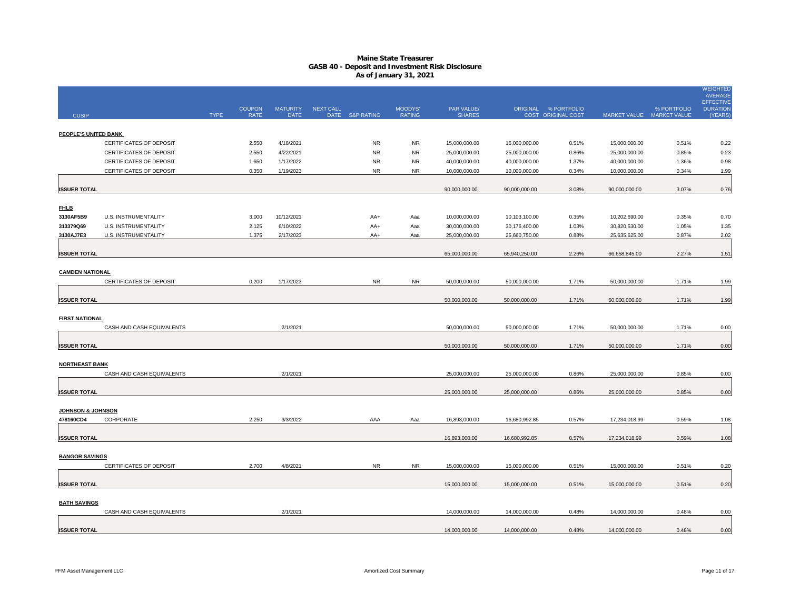|                              |                           |             |                              |                                |           |                 |                          |                             |               |                                            |                           |             | <b>WEIGHTED</b><br><b>AVERAGE</b><br><b>EFFECTIVE</b> |
|------------------------------|---------------------------|-------------|------------------------------|--------------------------------|-----------|-----------------|--------------------------|-----------------------------|---------------|--------------------------------------------|---------------------------|-------------|-------------------------------------------------------|
| <b>CUSIP</b>                 |                           | <b>TYPE</b> | <b>COUPON</b><br><b>RATE</b> | <b>MATURITY</b><br><b>DATE</b> | NEXT CALL | DATE S&P RATING | MOODYS'<br><b>RATING</b> | PAR VALUE/<br><b>SHARES</b> |               | ORIGINAL % PORTFOLIO<br>COST ORIGINAL COST | MARKET VALUE MARKET VALUE | % PORTFOLIO | <b>DURATION</b><br>(YEARS)                            |
| PEOPLE'S UNITED BANK         |                           |             |                              |                                |           |                 |                          |                             |               |                                            |                           |             |                                                       |
|                              | CERTIFICATES OF DEPOSIT   |             | 2.550                        | 4/18/2021                      |           | <b>NR</b>       | <b>NR</b>                | 15,000,000.00               | 15,000,000.00 | 0.51%                                      | 15,000,000.00             | 0.51%       | 0.22                                                  |
|                              | CERTIFICATES OF DEPOSIT   |             | 2.550                        | 4/22/2021                      |           | <b>NR</b>       | <b>NR</b>                | 25,000,000.00               | 25,000,000.00 | 0.86%                                      | 25,000,000.00             | 0.85%       | 0.23                                                  |
|                              | CERTIFICATES OF DEPOSIT   |             | 1.650                        | 1/17/2022                      |           | <b>NR</b>       | <b>NR</b>                | 40,000,000.00               | 40,000,000.00 | 1.37%                                      | 40,000,000.00             | 1.36%       | 0.98                                                  |
|                              | CERTIFICATES OF DEPOSIT   |             | 0.350                        | 1/19/2023                      |           | <b>NR</b>       | <b>NR</b>                | 10,000,000.00               | 10,000,000.00 | 0.34%                                      | 10,000,000.00             | 0.34%       | 1.99                                                  |
|                              |                           |             |                              |                                |           |                 |                          |                             |               |                                            |                           |             |                                                       |
| <b>ISSUER TOTAL</b>          |                           |             |                              |                                |           |                 |                          | 90,000,000.00               | 90,000,000.00 | 3.08%                                      | 90,000,000.00             | 3.07%       | 0.76                                                  |
| <b>FHLB</b>                  |                           |             |                              |                                |           |                 |                          |                             |               |                                            |                           |             |                                                       |
| 3130AF5B9                    | U.S. INSTRUMENTALITY      |             | 3.000                        | 10/12/2021                     |           | AA+             | Aaa                      | 10,000,000.00               | 10,103,100.00 | 0.35%                                      | 10,202,690.00             | 0.35%       | 0.70                                                  |
| 313379Q69                    | U.S. INSTRUMENTALITY      |             | 2.125                        | 6/10/2022                      |           | AA+             | Aaa                      | 30,000,000.00               | 30,176,400.00 | 1.03%                                      | 30,820,530.00             | 1.05%       | 1.35                                                  |
| 3130AJ7E3                    | U.S. INSTRUMENTALITY      |             | 1.375                        | 2/17/2023                      |           | AA+             | Aaa                      | 25,000,000.00               | 25,660,750.00 | 0.88%                                      | 25,635,625.00             | 0.87%       | 2.02                                                  |
|                              |                           |             |                              |                                |           |                 |                          |                             |               |                                            |                           |             |                                                       |
| <b>ISSUER TOTAL</b>          |                           |             |                              |                                |           |                 |                          | 65,000,000.00               | 65,940,250.00 | 2.26%                                      | 66,658,845.00             | 2.27%       | 1.51                                                  |
| <b>CAMDEN NATIONAL</b>       |                           |             |                              |                                |           |                 |                          |                             |               |                                            |                           |             |                                                       |
|                              | CERTIFICATES OF DEPOSIT   |             | 0.200                        | 1/17/2023                      |           | <b>NR</b>       | <b>NR</b>                | 50,000,000.00               | 50,000,000.00 | 1.71%                                      | 50,000,000.00             | 1.71%       | 1.99                                                  |
| <b>ISSUER TOTAL</b>          |                           |             |                              |                                |           |                 |                          | 50,000,000.00               | 50,000,000.00 | 1.71%                                      | 50,000,000.00             | 1.71%       | 1.99                                                  |
|                              |                           |             |                              |                                |           |                 |                          |                             |               |                                            |                           |             |                                                       |
| <b>FIRST NATIONAL</b>        |                           |             |                              |                                |           |                 |                          |                             |               |                                            |                           |             |                                                       |
|                              | CASH AND CASH EQUIVALENTS |             |                              | 2/1/2021                       |           |                 |                          | 50,000,000.00               | 50,000,000.00 | 1.71%                                      | 50,000,000.00             | 1.71%       | 0.00                                                  |
| <b>ISSUER TOTAL</b>          |                           |             |                              |                                |           |                 |                          | 50,000,000.00               | 50,000,000.00 | 1.71%                                      | 50,000,000.00             | 1.71%       | 0.00                                                  |
|                              |                           |             |                              |                                |           |                 |                          |                             |               |                                            |                           |             |                                                       |
| <b>NORTHEAST BANK</b>        | CASH AND CASH EQUIVALENTS |             |                              | 2/1/2021                       |           |                 |                          | 25,000,000.00               | 25,000,000.00 | 0.86%                                      | 25,000,000.00             | 0.85%       | 0.00                                                  |
|                              |                           |             |                              |                                |           |                 |                          |                             |               |                                            |                           |             |                                                       |
| <b>ISSUER TOTAL</b>          |                           |             |                              |                                |           |                 |                          | 25,000,000.00               | 25,000,000.00 | 0.86%                                      | 25,000,000.00             | 0.85%       | 0.00                                                  |
| <b>JOHNSON &amp; JOHNSON</b> |                           |             |                              |                                |           |                 |                          |                             |               |                                            |                           |             |                                                       |
| 478160CD4                    | CORPORATE                 |             | 2.250                        | 3/3/2022                       |           | AAA             | Aaa                      | 16,893,000.00               | 16,680,992.85 | 0.57%                                      | 17,234,018.99             | 0.59%       | 1.08                                                  |
|                              |                           |             |                              |                                |           |                 |                          |                             |               |                                            |                           |             |                                                       |
| <b>ISSUER TOTAL</b>          |                           |             |                              |                                |           |                 |                          | 16,893,000.00               | 16,680,992.85 | 0.57%                                      | 17,234,018.99             | 0.59%       | 1.08                                                  |
| <b>BANGOR SAVINGS</b>        |                           |             |                              |                                |           |                 |                          |                             |               |                                            |                           |             |                                                       |
|                              | CERTIFICATES OF DEPOSIT   |             | 2.700                        | 4/8/2021                       |           | <b>NR</b>       | NR.                      | 15,000,000.00               | 15,000,000.00 | 0.51%                                      | 15,000,000.00             | 0.51%       | 0.20                                                  |
|                              |                           |             |                              |                                |           |                 |                          |                             |               |                                            |                           |             |                                                       |
| <b>ISSUER TOTAL</b>          |                           |             |                              |                                |           |                 |                          | 15.000.000.00               | 15.000.000.00 | 0.51%                                      | 15,000,000.00             | 0.51%       | 0.20                                                  |
| <b>BATH SAVINGS</b>          |                           |             |                              |                                |           |                 |                          |                             |               |                                            |                           |             |                                                       |
|                              | CASH AND CASH EQUIVALENTS |             |                              | 2/1/2021                       |           |                 |                          | 14,000,000.00               | 14,000,000.00 | 0.48%                                      | 14,000,000.00             | 0.48%       | 0.00                                                  |
| <b>ISSUER TOTAL</b>          |                           |             |                              |                                |           |                 |                          | 14,000,000.00               | 14,000,000.00 | 0.48%                                      | 14,000,000.00             | 0.48%       | 0.00                                                  |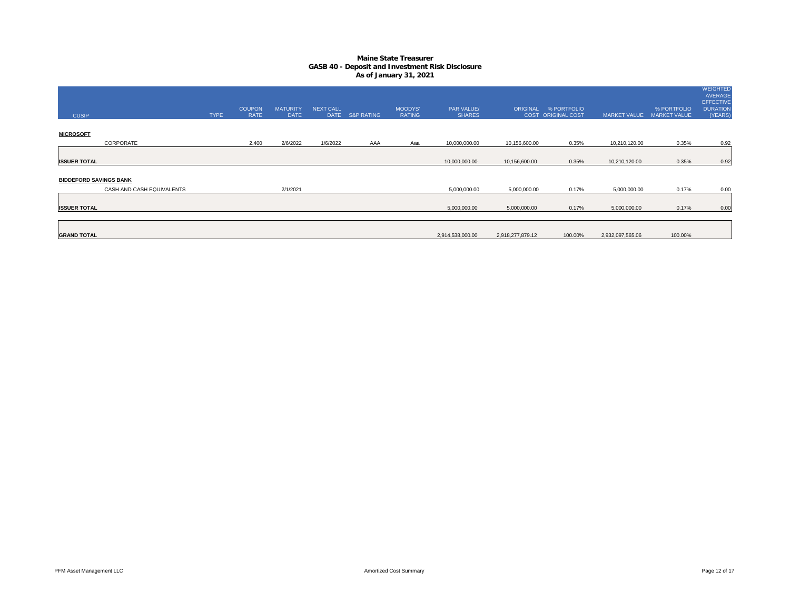| <b>CUSIP</b>                  |                           | <b>TYPE</b> | <b>COUPON</b><br><b>RATE</b> | <b>MATURITY</b><br><b>DATE</b> | <b>NEXT CALL</b><br><b>DATE</b> | <b>S&amp;P RATING</b> | <b>MOODYS'</b><br><b>RATING</b> | PAR VALUE/<br><b>SHARES</b> |                  | ORIGINAL % PORTFOLIO<br>COST ORIGINAL COST | <b>MARKET VALUE</b> | % PORTFOLIO<br><b>MARKET VALUE</b> | WEIGHTED<br><b>AVERAGE</b><br><b>EFFECTIVE</b><br><b>DURATION</b><br>(YEARS) |
|-------------------------------|---------------------------|-------------|------------------------------|--------------------------------|---------------------------------|-----------------------|---------------------------------|-----------------------------|------------------|--------------------------------------------|---------------------|------------------------------------|------------------------------------------------------------------------------|
|                               |                           |             |                              |                                |                                 |                       |                                 |                             |                  |                                            |                     |                                    |                                                                              |
| <b>MICROSOFT</b>              |                           |             |                              |                                |                                 |                       |                                 |                             |                  |                                            |                     |                                    |                                                                              |
|                               | CORPORATE                 |             | 2.400                        | 2/6/2022                       | 1/6/2022                        | AAA                   | Aaa                             | 10,000,000.00               | 10,156,600.00    | 0.35%                                      | 10,210,120.00       | 0.35%                              | 0.92                                                                         |
|                               |                           |             |                              |                                |                                 |                       |                                 |                             |                  |                                            |                     |                                    |                                                                              |
| <b>ISSUER TOTAL</b>           |                           |             |                              |                                |                                 |                       |                                 | 10,000,000.00               | 10,156,600.00    | 0.35%                                      | 10,210,120.00       | 0.35%                              | 0.92                                                                         |
|                               |                           |             |                              |                                |                                 |                       |                                 |                             |                  |                                            |                     |                                    |                                                                              |
| <b>BIDDEFORD SAVINGS BANK</b> |                           |             |                              |                                |                                 |                       |                                 |                             |                  |                                            |                     |                                    |                                                                              |
|                               | CASH AND CASH EQUIVALENTS |             |                              | 2/1/2021                       |                                 |                       |                                 | 5,000,000.00                | 5,000,000.00     | 0.17%                                      | 5,000,000.00        | 0.17%                              | 0.00                                                                         |
|                               |                           |             |                              |                                |                                 |                       |                                 |                             |                  |                                            |                     |                                    |                                                                              |
| <b>ISSUER TOTAL</b>           |                           |             |                              |                                |                                 |                       |                                 | 5,000,000.00                | 5,000,000.00     | 0.17%                                      | 5,000,000.00        | 0.17%                              | 0.00                                                                         |
|                               |                           |             |                              |                                |                                 |                       |                                 |                             |                  |                                            |                     |                                    |                                                                              |
|                               |                           |             |                              |                                |                                 |                       |                                 |                             |                  |                                            |                     |                                    |                                                                              |
| <b>GRAND TOTAL</b>            |                           |             |                              |                                |                                 |                       |                                 | 2,914,538,000.00            | 2,918,277,879.12 | 100.00%                                    | 2,932,097,565.06    | 100.00%                            |                                                                              |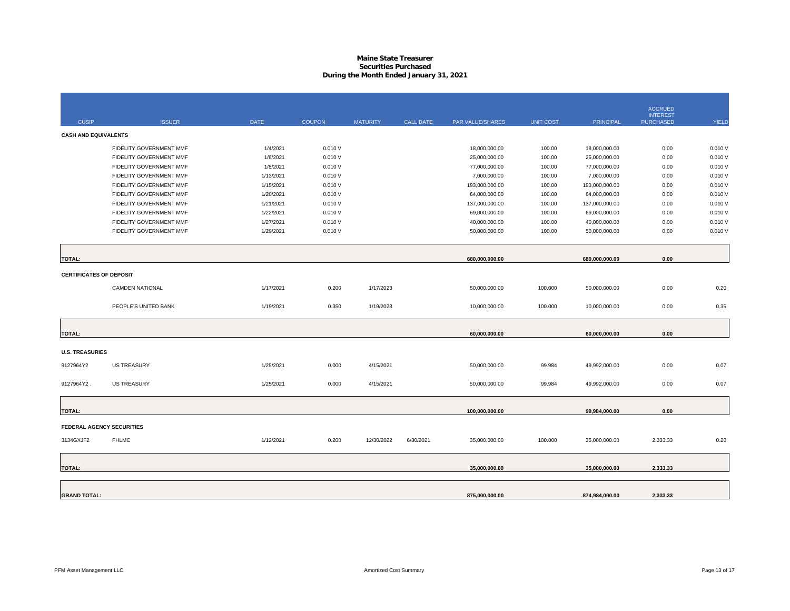# **Maine State Treasurer Securities PurchasedDuring the Month Ended January 31, 2021**

|                                  |                         |             |               |                 |                  |                  |                  |                  | <b>ACCRUED</b><br><b>INTEREST</b> |              |
|----------------------------------|-------------------------|-------------|---------------|-----------------|------------------|------------------|------------------|------------------|-----------------------------------|--------------|
| <b>CUSIP</b>                     | <b>ISSUER</b>           | <b>DATE</b> | <b>COUPON</b> | <b>MATURITY</b> | <b>CALL DATE</b> | PAR VALUE/SHARES | <b>UNIT COST</b> | <b>PRINCIPAL</b> | <b>PURCHASED</b>                  | <b>YIELD</b> |
| <b>CASH AND EQUIVALENTS</b>      |                         |             |               |                 |                  |                  |                  |                  |                                   |              |
|                                  | FIDELITY GOVERNMENT MMF | 1/4/2021    | 0.010V        |                 |                  | 18,000,000.00    | 100.00           | 18,000,000.00    | 0.00                              | 0.010V       |
|                                  | FIDELITY GOVERNMENT MMF | 1/6/2021    | 0.010V        |                 |                  | 25,000,000.00    | 100.00           | 25,000,000.00    | 0.00                              | 0.010V       |
|                                  | FIDELITY GOVERNMENT MMF | 1/8/2021    | 0.010V        |                 |                  | 77,000,000.00    | 100.00           | 77,000,000.00    | 0.00                              | 0.010V       |
|                                  | FIDELITY GOVERNMENT MMF | 1/13/2021   | 0.010V        |                 |                  | 7,000,000.00     | 100.00           | 7,000,000.00     | 0.00                              | 0.010V       |
|                                  | FIDELITY GOVERNMENT MMF | 1/15/2021   | 0.010V        |                 |                  | 193,000,000.00   | 100.00           | 193,000,000.00   | 0.00                              | 0.010V       |
|                                  | FIDELITY GOVERNMENT MMF | 1/20/2021   | 0.010V        |                 |                  | 64,000,000.00    | 100.00           | 64,000,000.00    | 0.00                              | 0.010V       |
|                                  | FIDELITY GOVERNMENT MMF | 1/21/2021   | 0.010V        |                 |                  | 137,000,000.00   | 100.00           | 137,000,000.00   | 0.00                              | 0.010V       |
|                                  | FIDELITY GOVERNMENT MMF | 1/22/2021   | 0.010V        |                 |                  | 69,000,000.00    | 100.00           | 69,000,000.00    | 0.00                              | 0.010V       |
|                                  | FIDELITY GOVERNMENT MMF | 1/27/2021   | 0.010V        |                 |                  | 40,000,000.00    | 100.00           | 40,000,000.00    | 0.00                              | 0.010V       |
|                                  | FIDELITY GOVERNMENT MMF | 1/29/2021   | 0.010V        |                 |                  | 50,000,000.00    | 100.00           | 50,000,000.00    | 0.00                              | 0.010V       |
|                                  |                         |             |               |                 |                  |                  |                  |                  |                                   |              |
| <b>TOTAL:</b>                    |                         |             |               |                 |                  | 680,000,000.00   |                  | 680,000,000.00   | 0.00                              |              |
| <b>CERTIFICATES OF DEPOSIT</b>   |                         |             |               |                 |                  |                  |                  |                  |                                   |              |
|                                  | <b>CAMDEN NATIONAL</b>  | 1/17/2021   | 0.200         | 1/17/2023       |                  | 50,000,000.00    | 100.000          | 50,000,000.00    | 0.00                              | 0.20         |
|                                  | PEOPLE'S UNITED BANK    | 1/19/2021   | 0.350         | 1/19/2023       |                  | 10,000,000.00    | 100.000          | 10,000,000.00    | 0.00                              | 0.35         |
| <b>TOTAL:</b>                    |                         |             |               |                 |                  | 60,000,000.00    |                  | 60,000,000.00    | 0.00                              |              |
|                                  |                         |             |               |                 |                  |                  |                  |                  |                                   |              |
| <b>U.S. TREASURIES</b>           |                         |             |               |                 |                  |                  |                  |                  |                                   |              |
| 9127964Y2                        | <b>US TREASURY</b>      | 1/25/2021   | 0.000         | 4/15/2021       |                  | 50,000,000.00    | 99.984           | 49,992,000.00    | 0.00                              | 0.07         |
| 9127964Y2.                       | <b>US TREASURY</b>      | 1/25/2021   | 0.000         | 4/15/2021       |                  | 50,000,000.00    | 99.984           | 49,992,000.00    | 0.00                              | 0.07         |
| <b>TOTAL:</b>                    |                         |             |               |                 |                  | 100,000,000.00   |                  | 99,984,000.00    | 0.00                              |              |
|                                  |                         |             |               |                 |                  |                  |                  |                  |                                   |              |
| <b>FEDERAL AGENCY SECURITIES</b> |                         |             |               |                 |                  |                  |                  |                  |                                   |              |
| 3134GXJF2                        | <b>FHLMC</b>            | 1/12/2021   | 0.200         | 12/30/2022      | 6/30/2021        | 35,000,000.00    | 100.000          | 35,000,000.00    | 2,333.33                          | 0.20         |
| <b>TOTAL:</b>                    |                         |             |               |                 |                  | 35,000,000.00    |                  | 35,000,000.00    | 2,333.33                          |              |
|                                  |                         |             |               |                 |                  |                  |                  |                  |                                   |              |
| <b>GRAND TOTAL:</b>              |                         |             |               |                 |                  | 875,000,000.00   |                  | 874,984,000.00   | 2,333.33                          |              |
|                                  |                         |             |               |                 |                  |                  |                  |                  |                                   |              |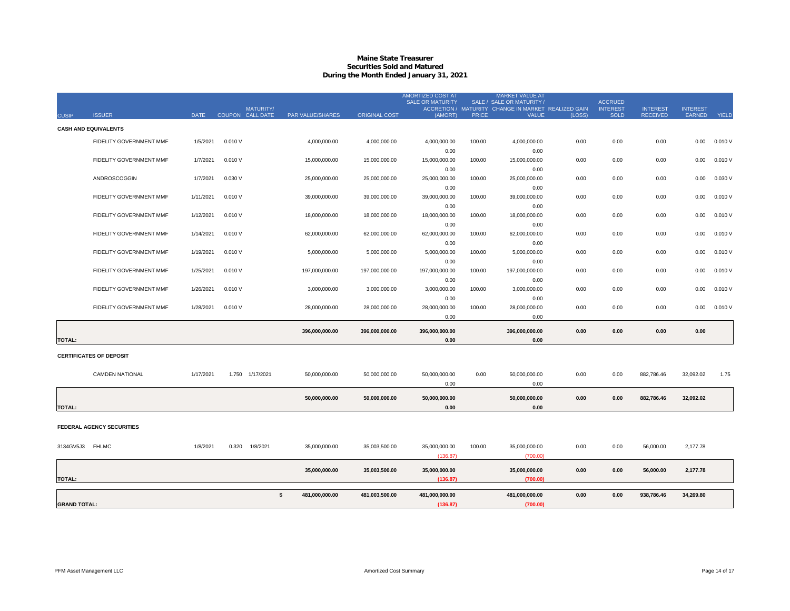# **Maine State Treasurer Securities Sold and MaturedDuring the Month Ended January 31, 2021**

|                     |                                  |             |         |                                      |                         |                      | <b>AMORTIZED COST AT</b><br><b>SALE OR MATURITY</b> |              | <b>MARKET VALUE AT</b><br>SALE / SALE OR MATURITY /                 |        | <b>ACCRUED</b>                 |                                    |                           |              |
|---------------------|----------------------------------|-------------|---------|--------------------------------------|-------------------------|----------------------|-----------------------------------------------------|--------------|---------------------------------------------------------------------|--------|--------------------------------|------------------------------------|---------------------------|--------------|
| <b>CUSIP</b>        | <b>ISSUER</b>                    | <b>DATE</b> |         | <b>MATURITY/</b><br>COUPON CALL DATE | <b>PAR VALUE/SHARES</b> | <b>ORIGINAL COST</b> | (AMORT)                                             | <b>PRICE</b> | ACCRETION / MATURITY CHANGE IN MARKET REALIZED GAIN<br><b>VALUE</b> | (LOSS) | <b>INTEREST</b><br><b>SOLD</b> | <b>INTEREST</b><br><b>RECEIVED</b> | <b>INTEREST</b><br>EARNED | <b>YIELD</b> |
|                     | <b>CASH AND EQUIVALENTS</b>      |             |         |                                      |                         |                      |                                                     |              |                                                                     |        |                                |                                    |                           |              |
|                     |                                  |             |         |                                      |                         |                      |                                                     |              |                                                                     |        |                                |                                    |                           |              |
|                     | FIDELITY GOVERNMENT MMF          | 1/5/2021    | 0.010V  |                                      | 4,000,000.00            | 4,000,000.00         | 4,000,000.00                                        | 100.00       | 4,000,000.00                                                        | 0.00   | 0.00                           | 0.00                               | 0.00                      | 0.010 V      |
|                     |                                  |             |         |                                      |                         |                      | 0.00                                                |              | 0.00                                                                |        |                                |                                    |                           |              |
|                     | FIDELITY GOVERNMENT MMF          | 1/7/2021    | 0.010V  |                                      | 15,000,000.00           | 15,000,000.00        | 15,000,000.00                                       | 100.00       | 15,000,000.00                                                       | 0.00   | 0.00                           | 0.00                               | 0.00                      | 0.010V       |
|                     |                                  |             |         |                                      |                         |                      | 0.00                                                |              | 0.00                                                                |        |                                |                                    |                           |              |
|                     | ANDROSCOGGIN                     | 1/7/2021    | 0.030 V |                                      | 25,000,000.00           | 25,000,000.00        | 25,000,000.00                                       | 100.00       | 25,000,000.00                                                       | 0.00   | 0.00                           | 0.00                               | 0.00                      | 0.030 V      |
|                     |                                  |             |         |                                      |                         |                      | 0.00                                                |              | 0.00                                                                |        |                                |                                    |                           |              |
|                     | FIDELITY GOVERNMENT MMF          | 1/11/2021   | 0.010V  |                                      | 39,000,000.00           | 39,000,000.00        | 39,000,000.00                                       | 100.00       | 39,000,000.00                                                       | 0.00   | 0.00                           | 0.00                               | 0.00                      | 0.010 V      |
|                     |                                  |             |         |                                      |                         |                      | 0.00                                                |              | 0.00                                                                |        |                                |                                    |                           |              |
|                     | FIDELITY GOVERNMENT MMF          | 1/12/2021   | 0.010V  |                                      | 18,000,000.00           | 18,000,000.00        | 18,000,000.00                                       | 100.00       | 18,000,000.00                                                       | 0.00   | 0.00                           | 0.00                               | 0.00                      | 0.010 V      |
|                     |                                  |             |         |                                      |                         |                      | 0.00                                                |              | 0.00                                                                |        |                                |                                    |                           |              |
|                     | FIDELITY GOVERNMENT MMF          | 1/14/2021   | 0.010V  |                                      | 62,000,000.00           | 62,000,000.00        | 62,000,000.00                                       | 100.00       | 62,000,000.00                                                       | 0.00   | 0.00                           | 0.00                               | 0.00                      | 0.010V       |
|                     |                                  |             |         |                                      |                         |                      | 0.00                                                |              | 0.00                                                                |        |                                |                                    |                           |              |
|                     | FIDELITY GOVERNMENT MMF          | 1/19/2021   | 0.010V  |                                      | 5,000,000.00            | 5,000,000.00         | 5,000,000.00                                        | 100.00       | 5,000,000.00                                                        | 0.00   | 0.00                           | 0.00                               | 0.00                      | 0.010 V      |
|                     |                                  |             |         |                                      |                         |                      | 0.00                                                |              | 0.00                                                                |        |                                |                                    |                           |              |
|                     | FIDELITY GOVERNMENT MMF          | 1/25/2021   | 0.010V  |                                      | 197,000,000.00          | 197,000,000.00       | 197,000,000.00                                      | 100.00       | 197,000,000.00                                                      | 0.00   | 0.00                           | 0.00                               | 0.00                      | 0.010 V      |
|                     |                                  |             |         |                                      |                         |                      | 0.00                                                |              | 0.00                                                                |        |                                |                                    |                           |              |
|                     | FIDELITY GOVERNMENT MMF          | 1/26/2021   | 0.010V  |                                      | 3,000,000.00            | 3,000,000.00         | 3,000,000.00                                        | 100.00       | 3,000,000.00                                                        | 0.00   | 0.00                           | 0.00                               | 0.00                      | 0.010 V      |
|                     |                                  |             |         |                                      |                         |                      | 0.00                                                |              | 0.00                                                                |        |                                |                                    |                           |              |
|                     | FIDELITY GOVERNMENT MMF          | 1/28/2021   | 0.010V  |                                      | 28,000,000.00           | 28,000,000.00        | 28,000,000.00<br>0.00                               | 100.00       | 28,000,000.00<br>0.00                                               | 0.00   | 0.00                           | 0.00                               | 0.00                      | 0.010V       |
|                     |                                  |             |         |                                      |                         |                      |                                                     |              |                                                                     |        |                                |                                    |                           |              |
|                     |                                  |             |         |                                      | 396,000,000.00          | 396,000,000.00       | 396,000,000.00                                      |              | 396,000,000.00                                                      | 0.00   | 0.00                           | 0.00                               | 0.00                      |              |
| <b>TOTAL:</b>       |                                  |             |         |                                      |                         |                      | 0.00                                                |              | 0.00                                                                |        |                                |                                    |                           |              |
|                     | <b>CERTIFICATES OF DEPOSIT</b>   |             |         |                                      |                         |                      |                                                     |              |                                                                     |        |                                |                                    |                           |              |
|                     |                                  |             |         |                                      |                         |                      |                                                     |              |                                                                     |        |                                |                                    |                           |              |
|                     | <b>CAMDEN NATIONAL</b>           | 1/17/2021   | 1.750   | 1/17/2021                            | 50,000,000.00           | 50,000,000.00        | 50,000,000.00                                       | 0.00         | 50,000,000.00                                                       | 0.00   | 0.00                           | 882,786.46                         | 32,092.02                 | 1.75         |
|                     |                                  |             |         |                                      |                         |                      | 0.00                                                |              | 0.00                                                                |        |                                |                                    |                           |              |
|                     |                                  |             |         |                                      |                         |                      |                                                     |              |                                                                     |        |                                |                                    |                           |              |
|                     |                                  |             |         |                                      | 50,000,000.00           | 50,000,000.00        | 50,000,000.00                                       |              | 50,000,000.00                                                       | 0.00   | 0.00                           | 882,786.46                         | 32,092.02                 |              |
| <b>TOTAL:</b>       |                                  |             |         |                                      |                         |                      | 0.00                                                |              | 0.00                                                                |        |                                |                                    |                           |              |
|                     |                                  |             |         |                                      |                         |                      |                                                     |              |                                                                     |        |                                |                                    |                           |              |
|                     | <b>FEDERAL AGENCY SECURITIES</b> |             |         |                                      |                         |                      |                                                     |              |                                                                     |        |                                |                                    |                           |              |
|                     |                                  |             |         |                                      |                         |                      |                                                     |              |                                                                     |        |                                |                                    |                           |              |
| 3134GV5J3 FHLMC     |                                  | 1/8/2021    | 0.320   | 1/8/2021                             | 35,000,000.00           | 35,003,500.00        | 35,000,000.00                                       | 100.00       | 35,000,000.00                                                       | 0.00   | 0.00                           | 56,000.00                          | 2,177.78                  |              |
|                     |                                  |             |         |                                      |                         |                      | (136.87)                                            |              | (700.00)                                                            |        |                                |                                    |                           |              |
|                     |                                  |             |         |                                      | 35,000,000.00           | 35,003,500.00        | 35,000,000.00                                       |              | 35,000,000.00                                                       | 0.00   | 0.00                           | 56,000.00                          | 2,177.78                  |              |
| TOTAL:              |                                  |             |         |                                      |                         |                      | (136.87)                                            |              | (700.00)                                                            |        |                                |                                    |                           |              |
|                     |                                  |             |         |                                      |                         |                      |                                                     |              |                                                                     |        |                                |                                    |                           |              |
|                     |                                  |             |         |                                      | \$<br>481,000,000.00    | 481,003,500.00       | 481,000,000.00                                      |              | 481,000,000.00                                                      | 0.00   | 0.00                           | 938,786.46                         | 34,269.80                 |              |
| <b>GRAND TOTAL:</b> |                                  |             |         |                                      |                         |                      | (136.87)                                            |              | (700.00)                                                            |        |                                |                                    |                           |              |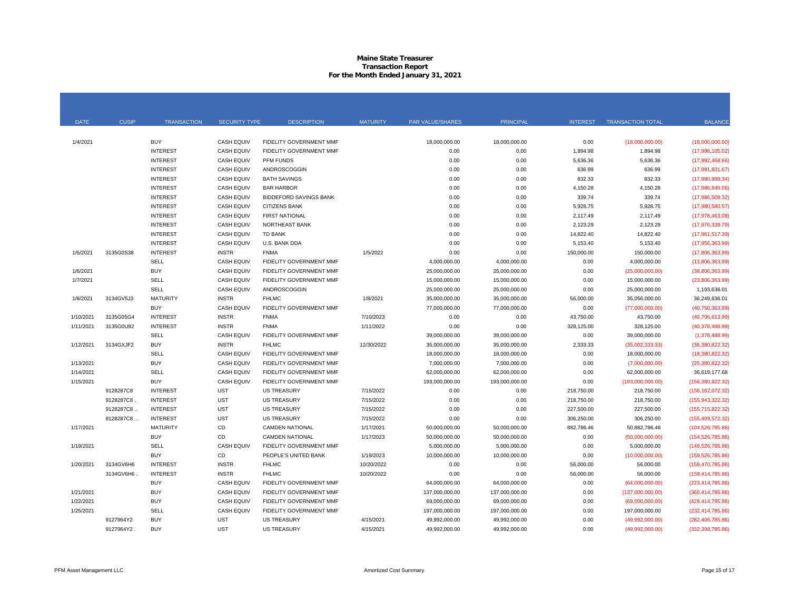#### **Maine State Treasurer Transaction Report For the Month Ended January 31, 2021**

| <b>DATE</b> | <b>CUSIP</b> | <b>TRANSACTION</b> | <b>SECURITY TYPE</b> | <b>DESCRIPTION</b>             | <b>MATURITY</b> | <b>PAR VALUE/SHARES</b> | <b>PRINCIPAL</b> | <b>INTEREST</b> | <b>TRANSACTION TOTAL</b> | <b>BALANCE</b>     |
|-------------|--------------|--------------------|----------------------|--------------------------------|-----------------|-------------------------|------------------|-----------------|--------------------------|--------------------|
|             |              |                    |                      |                                |                 |                         |                  |                 |                          |                    |
| 1/4/2021    |              | <b>BUY</b>         | <b>CASH EQUIV</b>    | FIDELITY GOVERNMENT MMF        |                 | 18,000,000.00           | 18,000,000.00    | 0.00            | (18,000,000.00)          | (18,000,000.00)    |
|             |              | <b>INTEREST</b>    | <b>CASH EQUIV</b>    | FIDELITY GOVERNMENT MMF        |                 | 0.00                    | 0.00             | 1,894.98        | 1,894.98                 | (17,998,105.02)    |
|             |              | <b>INTEREST</b>    | <b>CASH EQUIV</b>    | PFM FUNDS                      |                 | 0.00                    | 0.00             | 5,636.36        | 5,636.36                 | (17,992,468.66)    |
|             |              | <b>INTEREST</b>    | <b>CASH EQUIV</b>    | ANDROSCOGGIN                   |                 | 0.00                    | 0.00             | 636.99          | 636.99                   | (17,991,831.67)    |
|             |              | <b>INTEREST</b>    | <b>CASH EQUIV</b>    | <b>BATH SAVINGS</b>            |                 | 0.00                    | 0.00             | 832.33          | 832.33                   | (17,990,999.34)    |
|             |              | <b>INTEREST</b>    | <b>CASH EQUIV</b>    | <b>BAR HARBOR</b>              |                 | 0.00                    | 0.00             | 4,150.28        | 4,150.28                 | (17,986,849.06)    |
|             |              | <b>INTEREST</b>    | <b>CASH EQUIV</b>    | <b>BIDDEFORD SAVINGS BANK</b>  |                 | 0.00                    | 0.00             | 339.74          | 339.74                   | (17,986,509.32)    |
|             |              | <b>INTEREST</b>    | <b>CASH EQUIV</b>    | <b>CITIZENS BANK</b>           |                 | 0.00                    | 0.00             | 5,928.75        | 5,928.75                 | (17,980,580.57)    |
|             |              | <b>INTEREST</b>    | <b>CASH EQUIV</b>    | <b>FIRST NATIONAL</b>          |                 | 0.00                    | 0.00             | 2,117.49        | 2,117.49                 | (17,978,463.08)    |
|             |              | <b>INTEREST</b>    | <b>CASH EQUIV</b>    | NORTHEAST BANK                 |                 | 0.00                    | 0.00             | 2,123.29        | 2,123.29                 | (17,976,339.79)    |
|             |              | <b>INTEREST</b>    | <b>CASH EQUIV</b>    | TD BANK                        |                 | 0.00                    | 0.00             | 14,822.40       | 14,822.40                | (17,961,517.39)    |
|             |              | <b>INTEREST</b>    | <b>CASH EQUIV</b>    | U.S. BANK DDA                  |                 | 0.00                    | 0.00             | 5,153.40        | 5,153.40                 | (17,956,363.99)    |
| 1/5/2021    | 3135G0S38    | <b>INTEREST</b>    | <b>INSTR</b>         | <b>FNMA</b>                    | 1/5/2022        | 0.00                    | 0.00             | 150,000.00      | 150,000.00               | (17,806,363.99)    |
|             |              | <b>SELL</b>        | <b>CASH EQUIV</b>    | FIDELITY GOVERNMENT MMF        |                 | 4,000,000.00            | 4,000,000.00     | 0.00            | 4,000,000.00             | (13,806,363.99)    |
| 1/6/2021    |              | <b>BUY</b>         | <b>CASH EQUIV</b>    | FIDELITY GOVERNMENT MMF        |                 | 25,000,000.00           | 25,000,000.00    | 0.00            | (25,000,000.00)          | (38,806,363.99)    |
| 1/7/2021    |              | <b>SELL</b>        | <b>CASH EQUIV</b>    | FIDELITY GOVERNMENT MMF        |                 | 15,000,000.00           | 15,000,000.00    | 0.00            | 15,000,000.00            | (23,806,363.99)    |
|             |              | SELL               | <b>CASH EQUIV</b>    | ANDROSCOGGIN                   |                 | 25,000,000.00           | 25,000,000.00    | 0.00            | 25,000,000.00            | 1,193,636.01       |
| 1/8/2021    | 3134GV5J3    | <b>MATURITY</b>    | <b>INSTR</b>         | <b>FHLMC</b>                   | 1/8/2021        | 35,000,000.00           | 35,000,000.00    | 56,000.00       | 35,056,000.00            | 36,249,636.01      |
|             |              | <b>BUY</b>         | <b>CASH EQUIV</b>    | FIDELITY GOVERNMENT MMF        |                 | 77,000,000.00           | 77,000,000.00    | 0.00            | (77,000,000.00)          | (40,750,363.99)    |
| 1/10/2021   | 3135G05G4    | <b>INTEREST</b>    | <b>INSTR</b>         | <b>FNMA</b>                    | 7/10/2023       | 0.00                    | 0.00             | 43,750.00       | 43,750.00                | (40,706,613.99)    |
| 1/11/2021   | 3135G0U92    | <b>INTEREST</b>    | <b>INSTR</b>         | <b>FNMA</b>                    | 1/11/2022       | 0.00                    | 0.00             | 328,125.00      | 328,125.00               | (40, 378, 488.99)  |
|             |              | SELL               | <b>CASH EQUIV</b>    | FIDELITY GOVERNMENT MMF        |                 | 39,000,000.00           | 39,000,000.00    | 0.00            | 39,000,000.00            | (1,378,488.99)     |
| 1/12/2021   | 3134GXJF2    | <b>BUY</b>         | <b>INSTR</b>         | <b>FHLMC</b>                   | 12/30/2022      | 35,000,000.00           | 35,000,000.00    | 2,333.33        | (35,002,333.33)          | (36,380,822.32)    |
|             |              | <b>SELL</b>        | <b>CASH EQUIV</b>    | FIDELITY GOVERNMENT MMF        |                 | 18,000,000.00           | 18,000,000.00    | 0.00            | 18,000,000.00            | (18,380,822.32)    |
| 1/13/2021   |              | <b>BUY</b>         | <b>CASH EQUIV</b>    | FIDELITY GOVERNMENT MMF        |                 | 7,000,000.00            | 7,000,000.00     | 0.00            | (7,000,000.00)           | (25,380,822.32)    |
| 1/14/2021   |              | <b>SELL</b>        | <b>CASH EQUIV</b>    | <b>FIDELITY GOVERNMENT MMF</b> |                 | 62,000,000.00           | 62,000,000.00    | 0.00            | 62,000,000.00            | 36,619,177.68      |
| 1/15/2021   |              | <b>BUY</b>         | <b>CASH EQUIV</b>    | FIDELITY GOVERNMENT MMF        |                 | 193,000,000.00          | 193,000,000.00   | 0.00            | (193,000,000.00)         | (156, 380, 822.32) |
|             | 9128287C8    | <b>INTEREST</b>    | <b>UST</b>           | <b>US TREASURY</b>             | 7/15/2022       | 0.00                    | 0.00             | 218,750.00      | 218,750.00               | (156, 162, 072.32) |
|             | 9128287C8.   | <b>INTEREST</b>    | <b>UST</b>           | <b>US TREASURY</b>             | 7/15/2022       | 0.00                    | 0.00             | 218,750.00      | 218,750.00               | (155, 943, 322.32) |
|             | 9128287C8    | <b>INTEREST</b>    | <b>UST</b>           | <b>US TREASURY</b>             | 7/15/2022       | 0.00                    | 0.00             | 227,500.00      | 227,500.00               | (155, 715, 822.32) |
|             | 9128287C8    | <b>INTEREST</b>    | <b>UST</b>           | <b>US TREASURY</b>             | 7/15/2022       | 0.00                    | 0.00             | 306,250.00      | 306,250.00               | (155, 409, 572.32) |
| 1/17/2021   |              | <b>MATURITY</b>    | CD                   | <b>CAMDEN NATIONAL</b>         | 1/17/2021       | 50,000,000.00           | 50,000,000.00    | 882,786.46      | 50,882,786.46            | (104, 526, 785.86) |
|             |              | <b>BUY</b>         | CD                   | <b>CAMDEN NATIONAL</b>         | 1/17/2023       | 50,000,000.00           | 50,000,000.00    | 0.00            | (50,000,000.00)          | (154, 526, 785.86) |
| 1/19/2021   |              | SELL               | <b>CASH EQUIV</b>    | FIDELITY GOVERNMENT MMF        |                 | 5,000,000.00            | 5,000,000.00     | 0.00            | 5,000,000.00             | (149, 526, 785.86) |
|             |              | <b>BUY</b>         | CD                   | PEOPLE'S UNITED BANK           | 1/19/2023       | 10,000,000.00           | 10,000,000.00    | 0.00            | (10,000,000.00)          | (159, 526, 785.86) |
| 1/20/2021   | 3134GV6H6    | <b>INTEREST</b>    | <b>INSTR</b>         | <b>FHLMC</b>                   | 10/20/2022      | 0.00                    | 0.00             | 56,000.00       | 56,000.00                | (159, 470, 785.86) |
|             | 3134GV6H6    | <b>INTEREST</b>    | <b>INSTR</b>         | <b>FHLMC</b>                   | 10/20/2022      | 0.00                    | 0.00             | 56,000.00       | 56,000.00                | (159, 414, 785.86) |
|             |              | <b>BUY</b>         | <b>CASH EQUIV</b>    | FIDELITY GOVERNMENT MMF        |                 | 64,000,000.00           | 64,000,000.00    | 0.00            | (64,000,000.00)          | (223, 414, 785.86) |
| 1/21/2021   |              | <b>BUY</b>         | <b>CASH EQUIV</b>    | FIDELITY GOVERNMENT MMF        |                 | 137,000,000.00          | 137,000,000.00   | 0.00            | (137,000,000.00)         | (360, 414, 785.86) |
| 1/22/2021   |              | <b>BUY</b>         | <b>CASH EQUIV</b>    | FIDELITY GOVERNMENT MMF        |                 | 69,000,000.00           | 69,000,000.00    | 0.00            | (69,000,000,00)          | (429, 414, 785.86) |
| 1/25/2021   |              | <b>SELL</b>        | <b>CASH EQUIV</b>    | FIDELITY GOVERNMENT MMF        |                 | 197,000,000.00          | 197,000,000.00   | 0.00            | 197,000,000.00           | (232, 414, 785.86) |
|             | 9127964Y2    | <b>BUY</b>         | <b>UST</b>           | <b>US TREASURY</b>             | 4/15/2021       | 49,992,000.00           | 49,992,000.00    | 0.00            | (49,992,000.00)          | (282, 406, 785.86) |
|             | 9127964Y2    | <b>BUY</b>         | <b>UST</b>           | <b>US TREASURY</b>             | 4/15/2021       | 49,992,000.00           | 49,992,000.00    | 0.00            | (49,992,000.00)          | (332, 398, 785.86) |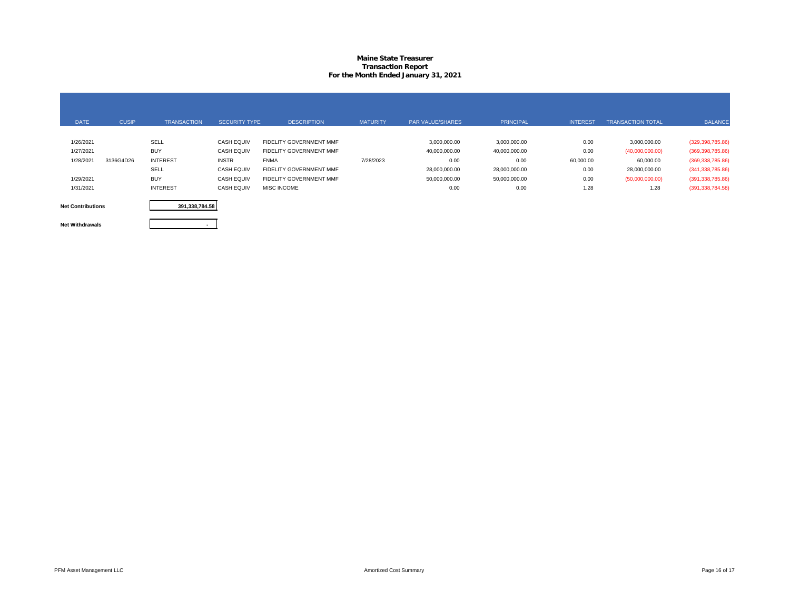## **Maine State Treasurer Transaction Report For the Month Ended January 31, 2021**

| <b>DATE</b>              | <b>CUSIP</b> | <b>TRANSACTION</b> | <b>SECURITY TYPE</b> | <b>DESCRIPTION</b>      | <b>MATURITY</b> | <b>PAR VALUE/SHARES</b> | <b>PRINCIPAL</b> | <b>INTEREST</b> | <b>TRANSACTION TOTAL</b> | <b>BALANCE</b>     |
|--------------------------|--------------|--------------------|----------------------|-------------------------|-----------------|-------------------------|------------------|-----------------|--------------------------|--------------------|
| 1/26/2021                |              | SELL               | <b>CASH EQUIV</b>    | FIDELITY GOVERNMENT MMF |                 | 3,000,000.00            | 3,000,000.00     | 0.00            | 3,000,000.00             | (329, 398, 785.86) |
| 1/27/2021                |              | <b>BUY</b>         | <b>CASH EQUIV</b>    | FIDELITY GOVERNMENT MMF |                 | 40,000,000.00           | 40,000,000.00    | 0.00            | (40,000,000.00)          | (369, 398, 785.86) |
| 1/28/2021                | 3136G4D26    | <b>INTEREST</b>    | <b>INSTR</b>         | <b>FNMA</b>             | 7/28/2023       | 0.00                    | 0.00             | 60,000.00       | 60,000.00                | (369, 338, 785.86) |
|                          |              | <b>SELL</b>        | <b>CASH EQUIV</b>    | FIDELITY GOVERNMENT MMF |                 | 28,000,000.00           | 28,000,000.00    | 0.00            | 28,000,000.00            | (341, 338, 785.86) |
| 1/29/2021                |              | <b>BUY</b>         | <b>CASH EQUIV</b>    | FIDELITY GOVERNMENT MMF |                 | 50,000,000.00           | 50,000,000.00    | 0.00            | (50,000,000.00)          | (391, 338, 785.86) |
| 1/31/2021                |              | <b>INTEREST</b>    | <b>CASH EQUIV</b>    | <b>MISC INCOME</b>      |                 | 0.00                    | 0.00             | 1.28            | 1.28                     | (391, 338, 784.58) |
| <b>Net Contributions</b> |              | 391,338,784.58     |                      |                         |                 |                         |                  |                 |                          |                    |

**Net Contributions**

**Net Withdrawals**

PFM Asset Management LLC **Example 2006** 17 Case of 17 Amortized Cost Summary Page 16 of 17 Case 16 of 17 Case 16 of 17